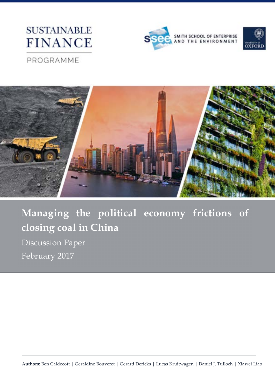# **SUSTAINABLE FINANCE**





## PROGRAMME



**Managing the political economy frictions of closing coal in China** Discussion Paper February 2017

**Authors:** Ben Caldecott | Geraldine Bouveret | Gerard Dericks | Lucas Kruitwagen | Daniel J. Tulloch | Xiawei Liao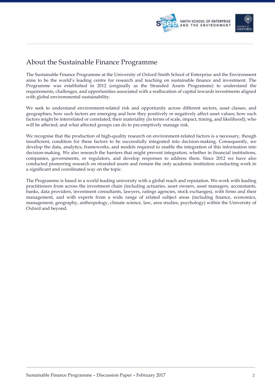

### About the Sustainable Finance Programme

The Sustainable Finance Programme at the University of Oxford Smith School of Enterprise and the Environment aims to be the world's leading centre for research and teaching on sustainable finance and investment. The Programme was established in 2012 (originally as the Stranded Assets Programme) to understand the requirements, challenges, and opportunities associated with a reallocation of capital towards investments aligned with global environmental sustainability.

We seek to understand environment-related risk and opportunity across different sectors, asset classes, and geographies; how such factors are emerging and how they positively or negatively affect asset values; how such factors might be interrelated or correlated; their materiality (in terms of scale, impact, timing, and likelihood); who will be affected; and what affected groups can do to pre-emptively manage risk.

We recognise that the production of high-quality research on environment-related factors is a necessary, though insufficient, condition for these factors to be successfully integrated into decision-making. Consequently, we develop the data, analytics, frameworks, and models required to enable the integration of this information into decision-making. We also research the barriers that might prevent integration, whether in financial institutions, companies, governments, or regulators, and develop responses to address them. Since 2012 we have also conducted pioneering research on stranded assets and remain the only academic institution conducting work in a significant and coordinated way on the topic.

The Programme is based in a world leading university with a global reach and reputation. We work with leading practitioners from across the investment chain (including actuaries, asset owners, asset managers, accountants, banks, data providers, investment consultants, lawyers, ratings agencies, stock exchanges), with firms and their management, and with experts from a wide range of related subject areas (including finance, economics, management, geography, anthropology, climate science, law, area studies, psychology) within the University of Oxford and beyond.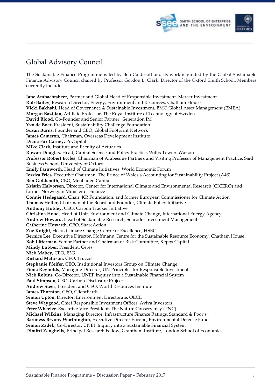

## Global Advisory Council

The Sustainable Finance Programme is led by Ben Caldecott and its work is guided by the Global Sustainable Finance Advisory Council chaired by Professor Gordon L. Clark, Director of the Oxford Smith School. Members currently include:

**Jane Ambachtsheer**, Partner and Global Head of Responsible Investment, Mercer Investment **Rob Bailey**, Research Director, Energy, Environment and Resources, Chatham House **Vicki Bakhshi**, Head of Governance & Sustainable Investment, BMO Global Asset Management (EMEA) **Morgan Bazilian**, Affiliate Professor, The Royal Institute of Technology of Sweden **David Blood**, Co-Founder and Senior Partner, Generation IM **Yvo de Boer**, President, Sustainability Challenge Foundation **Susan Burns**, Founder and CEO, Global Footprint Network **James Cameron**, Chairman, Overseas Development Institute **Diana Fox Carney**, Pi Capital **Mike Clark**, Institute and Faculty of Actuaries **Rowan Douglas**, Head, Capital Science and Policy Practice, Willis Towers Watson **Professor Robert Eccles**, Chairman of Arabesque Partners and Visiting Professor of Management Practice, Saïd Business School, University of Oxford **Emily Farnworth**, Head of Climate Initiatives, World Economic Forum **Jessica Fries**, Executive Chairman, The Prince of Wales's Accounting for Sustainability Project (A4S) **Ben Goldsmith**, CEO, Menhaden Capital **Kristin Halvorsen**, Director, Center for International Climate and Environmental Research (CICERO) and former Norwegian Minister of Finance **Connie Hedegaard**, Chair, KR Foundation, and former European Commissioner for Climate Action **Thomas Heller**, Chairman of the Board and Founder, Climate Policy Initiative **Anthony Hobley**, CEO, Carbon Tracker Initiative **Christina Hood**, Head of Unit, Environment and Climate Change, International Energy Agency **Andrew Howard**, Head of Sustainable Research, Schroder Investment Management **Catherine Howarth**, CEO, ShareAction **Zoe Knight**, Head, Climate Change Centre of Excellence, HSBC **Bernice Lee**, Executive Director, Hoffmann Centre for the Sustainable Resource Economy, Chatham House **Bob Litterman**, Senior Partner and Chairman of Risk Committee, Kepos Capital **Mindy Lubber**, President, Ceres **Nick Mabey**, CEO, E3G **Richard Mattison**, CEO, Trucost **Stephanie Pfeifer**, CEO, Institutional Investors Group on Climate Change **Fiona Reynolds**, Managing Director, UN Principles for Responsible Investment **Nick Robins**, Co-Director, UNEP Inquiry into a Sustainable Financial System **Paul Simpson**, CEO, Carbon Disclosure Project **Andrew Steer**, President and CEO, World Resources Institute **James Thornton**, CEO, ClientEarth **Simon Upton**, Director, Environment Directorate, OECD **Steve Waygood**, Chief Responsible Investment Officer, Aviva Investors **Peter Wheeler**, Executive Vice President, The Nature Conservancy (TNC) **Michael Wilkins**, Managing Director, Infrastructure Finance Ratings, Standard & Poor's **Baroness Bryony Worthington**, Executive Director Europe, Environmental Defense Fund **Simon Zadek**, Co-Director, UNEP Inquiry into a Sustainable Financial System **Dimitri Zenghelis**, Principal Research Fellow, Grantham Institute, London School of Economics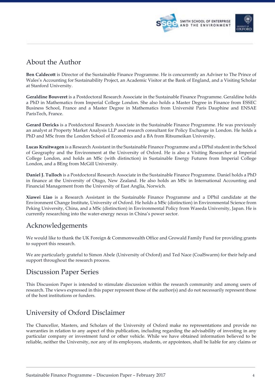

### About the Author

**Ben Caldecott** is Director of the Sustainable Finance Programme. He is concurrently an Adviser to The Prince of Wales's Accounting for Sustainability Project, an Academic Visitor at the Bank of England, and a Visiting Scholar at Stanford University.

**Geraldine Bouveret** is a Postdoctoral Research Associate in the Sustainable Finance Programme. Geraldine holds a PhD in Mathematics from Imperial College London. She also holds a Master Degree in Finance from ESSEC Business School, France and a Master Degree in Mathematics from Université Paris Dauphine and ENSAE ParisTech, France.

**Gerard Dericks** is a Postdoctoral Research Associate in the Sustainable Finance Programme. He was previously an analyst at Property Market Analysis LLP and research consultant for Policy Exchange in London. He holds a PhD and MSc from the London School of Economics and a BA from Ritsumeikan University**.**

**Lucas Kruitwagen** is a Research Assistant in the Sustainable Finance Programme and a DPhil student in the School of Geography and the Environment at the University of Oxford. He is also a Visiting Researcher at Imperial College London, and holds an MSc (with distinction) in Sustainable Energy Futures from Imperial College London, and a BEng from McGill University.

**Daniel J. Tulloch** is a Postdoctoral Research Associate in the Sustainable Finance Programme. Daniel holds a PhD in finance at the University of Otago, New Zealand. He also holds an MSc in International Accounting and Financial Management from the University of East Anglia, Norwich.

**Xiawei Liao** is a Research Assistant in the Sustainable Finance Programme and a DPhil candidate at the Environment Change Institute, University of Oxford. He holds a MSc (distinction) in Environmental Science from Peking University, China, and a MSc (distinction) in Environmental Policy from Waseda University, Japan. He is currently researching into the water-energy nexus in China's power sector.

### Acknowledgements

We would like to thank the UK Foreign & Commonwealth Office and Growald Family Fund for providing grants to support this research.

We are particularly grateful to Simon Abele (University of Oxford) and Ted Nace (CoalSwarm) for their help and support throughout the research process.

### Discussion Paper Series

This Discussion Paper is intended to stimulate discussion within the research community and among users of research. The views expressed in this paper represent those of the author(s) and do not necessarily represent those of the host institutions or funders.

### University of Oxford Disclaimer

The Chancellor, Masters, and Scholars of the University of Oxford make no representations and provide no warranties in relation to any aspect of this publication, including regarding the advisability of investing in any particular company or investment fund or other vehicle. While we have obtained information believed to be reliable, neither the University, nor any of its employees, students, or appointees, shall be liable for any claims or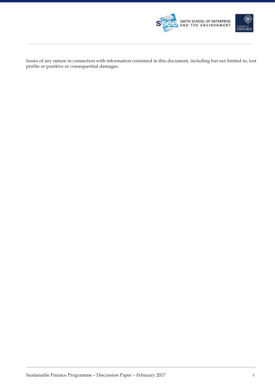

losses of any nature in connection with information contained in this document, including but not limited to, lost profits or punitive or consequential damages.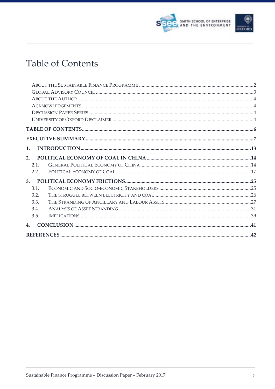



# **Table of Contents**

| 1.   |  |
|------|--|
| 2.   |  |
| 2.1. |  |
| 2.2. |  |
| 3.   |  |
| 3.1. |  |
| 3.2. |  |
| 3.3. |  |
| 3.4. |  |
| 3.5. |  |
| 4.   |  |
|      |  |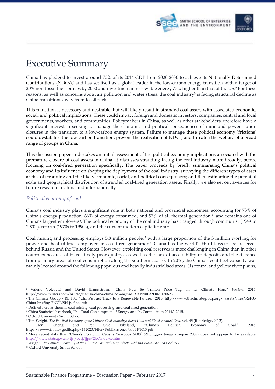



# Executive Summary

China has pledged to invest around 70% of its 2014 GDP from 2020-2030 to achieve its Nationally Determined Contributions (NDCs),<sup>1</sup> and has set itself as a global leader in the low-carbon energy transition with a target of 20% non-fossil fuel sources by 2030 and investment in renewable energy 73% higher than that of the US.2 For these reasons, as well as concerns about air pollution and water stress, the coal industry<sup>3</sup> is facing structural decline as China transitions away from fossil fuels.

This transition is necessary and desirable, but will likely result in stranded coal assets with associated economic, social, and political implications. These could impact foreign and domestic investors, companies, central and local governments, workers, and communities. Policymakers in China, as well as other stakeholders, therefore have a significant interest in seeking to manage the economic and political consequences of mine and power station closures in the transition to a low-carbon energy system. Failure to manage these political economy 'frictions' could destabilise the low-carbon transition, prevent the realisation of NDCs, and threaten the welfare of a broad range of groups in China.

This discussion paper undertakes an initial assessment of the political economy implications associated with the premature closure of coal assets in China. It discusses stranding facing the coal industry more broadly, before focusing on coal-fired generation specifically. The paper proceeds by briefly summarising China's political economy and its influence on shaping the deployment of the coal industry; surveying the different types of asset at risk of stranding and the likely economic, social, and political consequences; and then estimating the potential scale and geographical distribution of stranded coal-fired generation assets. Finally, we also set out avenues for future research in China and internationally.

#### *Political economy of coal*

China's coal industry plays a significant role in both national and provincial economies, accounting for 73% of China's energy production, 66% of energy consumed, and 93% of all thermal generation,4 and remains one of China's largest employers5. The political economy of the coal industry has changed through communist (1949 to 1970s), reform (1970s to 1990s), and the current modern capitalist era.6

Coal mining and processing employs 5.8 million people,  $\frac{7}{1}$  with a large proportion of the 3 million working for power and heat utilities employed in coal-fired generation8. China has the world's third largest coal reserves behind Russia and the United States. However, exploiting coal reserves is more challenging in China than in other countries because of its relatively poor quality,9 as well as the lack of accessibility of deposits and the distance from primary areas of coal-consumption along the southern coast<sup>10</sup>. In 2016, the China's coal fleet capacity was mainly located around the following populous and heavily industrialised areas: (1) central and yellow river plains,

<sup>-</sup><sup>1</sup> Valerie Volcovici and David Brunnstrom, "China Puts \$6 Trillion Price Tag on Its Climate Plan," *Reuters*, 2015, http://www.reuters.com/article/us-usa-china-climatechange-idUSKBN0P32H020150623.

<sup>2</sup> The Climate Group - RE 100, "China's Fast Track to a Renewable Future," 2015, http://www.theclimategroup.org/\_assets/files/Re100- China-briefing-ENGLISH-jv-final.pdf.

<sup>&</sup>lt;sup>3</sup> Defined here as thermal coal mining, coal processing, and coal-fired generation

<sup>4</sup> China Statistical Yearbook, "9-1 Total Consumption of Energy and Its Composition 2014," 2015.

<sup>5</sup> Oxford University Smith School.

<sup>6</sup> Tim Wright, *The Political Economy of the Chinese Coal Industry: Black Gold and Blood-Stained Coal*, vol. 45 (Routledge, 2012).

<sup>7</sup> Hen Cheng and Per Ove Eikeland, "China's Political Economy of Coal," 2015, https://www.fni.no/getfile.php/132020/Filer/Publikasjoner/FNI-R1015.pdf.

<sup>8</sup> More recent data than 'China's Economic Census Yearbook 2008' (Zhongguo tongji nianjian 2008) does not appear to be available, http://www.stats.gov.cn/tjsj/pcsj/jjpc/2jp/indexce.htm.

<sup>9</sup> Wright, *The Political Economy of the Chinese Coal Industry: Black Gold and Blood-Stained Coal*. p.20.

<sup>10</sup> Oxford University Smith School.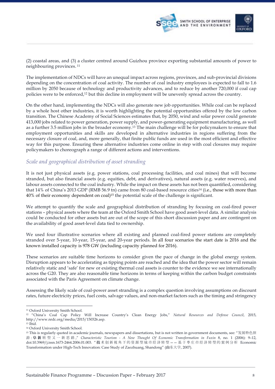

(2) coastal areas, and (3) a cluster centred around Guizhou province exporting substantial amounts of power to neighbouring provinces. <sup>11</sup>

The implementation of NDCs will have an unequal impact across regions, provinces, and sub-provincial divisions depending on the concentration of coal activity. The number of coal industry employees is expected to fall to 1.6 million by 2050 because of technology and productivity advances, and to reduce by another 720,000 if coal cap policies were to be enforced,12 but this decline in employment will be unevenly spread across the country.

On the other hand, implementing the NDCs will also generate new job opportunities. While coal can be replaced by a whole host other industries, it is worth highlighting the potential opportunities offered by the low carbon transition. The Chinese Academy of Social Sciences estimates that, by 2050, wind and solar power could generate 413,000 jobs related to power generation, power supply, and power-generating equipment manufacturing, as well as a further 3.5 million jobs in the broader economy.13 The main challenge will be for policymakers to ensure that employment opportunities and skills are developed in alternative industries in regions suffering from the necessary closure of coal, and, more generally, that finite public funds are used in the most efficient and effective way for this purpose. Ensuring these alternative industries come online in step with coal closures may require policymakers to choreograph a range of different actions and interventions.

### *Scale and geographical distribution of asset stranding*

It is not just physical assets (e.g. power stations, coal processing facilities, and coal mines) that will become stranded, but also financial assets (e.g. equities, debt, and derivatives), natural assets (e.g. water reserves), and labour assets connected to the coal industry. While the impact on these assets has not been quantified, considering that 14% of China's 2013 GDP (RMB 56.9 tn) came from 80 coal-based resource cities<sup>14</sup> (i.e., those with more than 40% of their economy dependent on coal)15 the potential scale of the challenge is significant.

We attempt to quantify the scale and geographical distribution of stranding by focusing on coal-fired power stations – physical assets where the team at the Oxford Smith School have good asset-level data. A similar analysis could be conducted for other assets but are out of the scope of this short discussion paper and are contingent on the availability of good asset-level data tied to ownership.

We used four illustrative scenarios where all existing and planned coal-fired power stations are completely stranded over 5-year, 10-year, 15-year, and 20-year periods. In all four scenarios the start date is 2016 and the known installed capacity is 978 GW (including capacity planned for 2016).

These scenarios are suitable time horizons to consider given the pace of change in the global energy system. Disruption appears to be accelerating as tipping points are reached and the idea that the power sector will remain relatively static and 'safe' for new or existing thermal coal assets is counter to the evidence we see internationally across the G20. They are also reasonable time horizons in terms of keeping within the carbon budget constraints associated with the Paris Agreement on climate change.

Assessing the likely scale of coal-power asset stranding is a complex question involving assumptions on discount rates, future electricity prices, fuel costs, salvage values, and non-market factors such as the timing and stringency

<sup>-</sup><sup>11</sup> Oxford University Smith School.

<sup>12</sup> "China's Coal Cap Policy Will Increase Country's Clean Energy Jobs," *Natural Resources and Defense Council*, 2015, http://www.nrdc.org/media/2015/150326.asp. <sup>13</sup> Ibid.

<sup>14</sup> Oxford University Smith School.

<sup>15</sup> This is regularly quoted in academic journals, newspapers and dissertations, but is not written in government documents, see: "发展特色旅 游 : 阜 新 转 型又一新思路 ," *Characteristic Tourism - A New Thought Of Economic Transformation in Fuxin* 8, no. 1 (2006): 9–12, doi:10.3969/j.issn.1673-2464.2006.01.003. " 技 术 创 新 视 角下的 资 源型城市 经济转 型 —— 基 于 枣 庄 市 经济转 型的案例分析 Economic Transformation under High-Tech Innovation: Case Study of Zaozhuang, Shandong" (山东大学, 2007).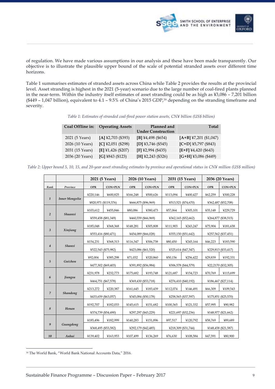



of regulation. We have made various assumptions in our analysis and these have been made transparently. Our objective is to illustrate the plausible upper bound of the scale of potential stranded assets over different time horizons.

Table 1 summarises estimates of stranded assets across China while Table 2 provides the results at the provincial level. Asset stranding is highest in the 2021 (5-year) scenario due to the large number of coal-fired plants planned in the near-term. Within the industry itself estimates of asset stranding could be as high as ¥3,086 – 7,201 billion (\$449 – 1,047 billion), equivalent to 4.1 – 9.5% of China's 2015 GDP,16 depending on the stranding timeframe and severity.

*Table 1: Estimates of stranded coal-fired power station assets, CN¥ billion (US\$ billion)* 

| Coal Offline in: | <b>Operating Assets</b> | Planned and<br><b>Under Construction</b> | Total                    |
|------------------|-------------------------|------------------------------------------|--------------------------|
| 2021 (5 Years)   | $[A]$ ¥2,703 (\$393)    | [B] ¥4,498 (\$654)                       | $[A+B]$ ¥7,201 (\$1,047) |
| 2026 (10 Years)  | $[C]$ ¥2,051 (\$298)    | $[D]$ ¥3,746 (\$545)                     | $[C+D]$ ¥5,797 (\$843)   |
| 2031 (15 Years)  | [E] ¥1,426 (\$207)      | $[F]$ ¥2,994 (\$435)                     | $[E+F]$ ¥4,420 (\$643)   |
| 2036 (20 Years)  | $[G]$ ¥843 (\$123)      | $[H]$ ¥2,243 (\$326)                     | $[G+H]$ ¥3,086 (\$449)   |

*Table 2: Upper bound 5, 10, 15, and 20-year asset stranding estimates by province and operational status in CN¥ million (US\$ million)* 

|                |                       | 2021 (5 Years)       |          |                     | 2026 (10 Years) |                     | 2031 (15 Years)     | 2036 (20 Years)     |                     |
|----------------|-----------------------|----------------------|----------|---------------------|-----------------|---------------------|---------------------|---------------------|---------------------|
| Rank           | Province              | <b>OPR</b>           | CON+PLN  | <b>OPR</b>          | <b>CON+PLN</b>  | <b>OPR</b>          | <b>CON+PLN</b>      | <b>OPR</b>          | <b>CON+PLN</b>      |
|                |                       | ¥220,146             | ¥600,825 | ¥166,248            | ¥500,626        | ¥113,094            | ¥400,427            | ¥62,259             | ¥300,228            |
| $\mathbf{1}$   | <b>Inner Mongolia</b> | ¥820,971 (\$119,376) |          | ¥666,875 (\$96,969) |                 |                     | ¥513,521 (\$74,670) | ¥362,487 (\$52,708) |                     |
|                |                       | ¥103,612             | ¥455,846 | ¥80,086             | ¥380,473        | ¥57,064             | ¥305,101            | ¥35,148             | ¥229,729            |
| 2              | Shaanxi               | ¥559,458 (\$81,349)  |          | ¥460,559 (\$66,969) |                 |                     | ¥362,165 (\$52,662) |                     | ¥264,877 (\$38,515) |
|                |                       | ¥185,048             | ¥368,368 | ¥148,281            | ¥305,808        | ¥111,903            | ¥243,247            | ¥75,904             | ¥181,658            |
| $\overline{3}$ | Xinjiang              | ¥553,416 (\$80,471)  |          | ¥454,089 (\$66,028) |                 |                     | ¥355,150 (\$51,642) |                     | ¥257,562 (\$37,451) |
|                |                       | ¥154.231             | ¥368,313 | ¥116,347            | ¥306,738        | ¥80,450             | ¥245,164            | ¥46,223             | ¥183,590            |
| $\overline{4}$ | Shanxi                |                      |          |                     |                 |                     |                     |                     |                     |
|                |                       | ¥522,543 (\$75,982)  |          | ¥423,086 (\$61,520) |                 |                     | ¥325,614 (\$47,347) |                     | ¥229,813 (\$33,417) |
| 5              | Guizhou               | ¥92,004              | ¥385,298 | ¥71,032             | ¥320,860        | ¥50,156             | ¥256,422            | ¥29,839             | ¥192,331            |
|                |                       | ¥477,302 (\$69,403)  |          | ¥391,892 (\$56,984) |                 | ¥306,578 (\$44,579) |                     | ¥22,2170 (\$32,305) |                     |
|                |                       | ¥231,978             | ¥232,773 | ¥175,682            | ¥193,748        | ¥121,687            | ¥154,723            | ¥70,769             | ¥115,699            |
| 6              | <b>Jiangsu</b>        | ¥464,751 (\$67,578)  |          | ¥369,430 (\$53,718) |                 | ¥276,410 (\$40,192) |                     | ¥186,467 (\$27,114) |                     |
|                |                       | ¥213,272             | ¥220,387 | ¥161,645            | ¥183,439        | ¥112.074            | ¥146,491            | ¥66,309             | ¥109,543            |
| $\overline{7}$ | Shandong              | ¥433,659 (\$63,057)  |          | ¥345,084 (\$50,178) |                 | ¥258,565 (\$37,597) |                     | ¥175,851 (\$25,570) |                     |
|                |                       | ¥192.707             | ¥182,033 | ¥145,615            | ¥151,682        | ¥100,365            | ¥121,332            | ¥57,995             | ¥90.982             |
| 8              | Henan                 | ¥374,739 (\$54,490)  |          | ¥297,297 (\$43,229) |                 |                     | ¥221,697 (\$32,236) |                     | ¥148,977 (\$21,662) |
|                |                       | ¥185,496             | ¥182,999 | ¥140,283            | ¥151,896        | ¥97,517             | ¥120,792            | ¥58,769             | ¥89,689             |
| 9              | Guangdong             | ¥368,495 (\$53,582)  |          | ¥292,179 (\$42,485) |                 |                     | ¥218,309 (\$31,744) |                     | ¥148,458 (\$21,587) |
| 10             | Anhui                 | ¥139,402             | ¥163,953 | ¥107,499            | ¥136,269        | ¥76,630             | ¥108,584            | ¥47,591             | ¥80,900             |

<sup>-</sup><sup>16</sup> The World Bank, "World Bank National Accounts Data," 2016.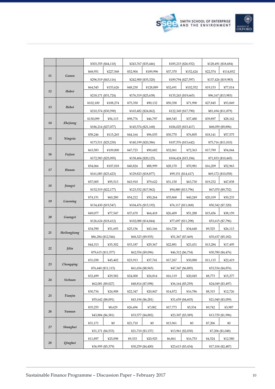



|    |                                      | ¥303,355 (\$44,110) |          |                   | ¥243,767 (\$35,446) |                   | ¥185,215 (\$26,932) |                   | ¥128,491 (\$18,684) |  |
|----|--------------------------------------|---------------------|----------|-------------------|---------------------|-------------------|---------------------|-------------------|---------------------|--|
|    |                                      | ¥68,951             | ¥227,568 | ¥52,904           | ¥189.996            | ¥37,370           | ¥152,424            | ¥22,574           | ¥114,852            |  |
| 11 | Gansu                                | ¥296,519 (\$43,116) |          |                   | ¥242,900 (\$35,320) |                   | ¥189,794 (\$27,597) |                   | ¥137,426 (\$19,983) |  |
|    |                                      | ¥64,545             | ¥153,626 | ¥48,230           | ¥128,089            | ¥32,691           | ¥102,552            | ¥19,153           | ¥77,014             |  |
| 12 | Hubei                                | ¥218,171 (\$31,724) |          |                   | ¥176,319 (\$25,638) |                   | ¥135,243 (\$19,665) |                   | ¥96,167 (\$13,983)  |  |
|    |                                      | ¥102,100            | ¥108,274 | ¥75,350           | ¥90,132             | ¥50.358           | ¥71,990             | ¥27,845           | ¥53.849             |  |
| 13 | Hebei                                | ¥210,374 (\$30,590) |          |                   | ¥165,482 (\$24,062) |                   | ¥122,349 (\$17,790) |                   | ¥81,694 (\$11,879)  |  |
|    |                                      | ¥130,099            | ¥56,115  | ¥98,776           | ¥46,797             | ¥68,545           | ¥37,480             | ¥39,897           | ¥28,162             |  |
| 14 | <i>Zhejiang</i>                      | ¥186,214 (\$27,077) |          |                   | ¥145,574 (\$21,168) |                   | ¥106,025 (\$15,417) |                   | ¥68,059 (\$9,896)   |  |
|    |                                      | ¥58,246             | ¥115,265 | ¥44,164           | ¥96,035             | ¥30,770           | ¥76,805             | ¥18,141           | ¥57,575             |  |
| 15 | Ningxia                              | ¥173,511 (\$25,230) |          |                   | ¥140,199 (\$20,386) |                   | ¥107,576 (\$15,642) |                   | ¥75,716 (\$11,010)  |  |
|    |                                      | ¥63,583             | ¥109,000 | ¥47,723           | ¥90,682             | ¥32,061           | ¥72,363             | ¥17,789           | ¥54,044             |  |
| 16 | Fujian                               | ¥172,583 (\$25,095) |          |                   | ¥138,404 (\$20,125) |                   | ¥104,424 (\$15,184) |                   | ¥71,833 (\$10,445)  |  |
|    |                                      | ¥54,066             | ¥107,018 | ¥40,824           | ¥88.999             | ¥28,170           | ¥70,981             | ¥16,209           | ¥52,963             |  |
| 17 | Hunan                                | ¥161,083 (\$23,423) |          |                   | ¥129,823 (\$18,877) |                   | ¥99,151 (\$14,417)  |                   | ¥69,172 (\$10,058)  |  |
|    |                                      | ¥57,005             | ¥95,513  | ¥43,910           | ¥79,622             | ¥31,150           | ¥63,730             | ¥19,232           | ¥47,838             |  |
|    | 18<br>Jiangxi<br>¥152,519 (\$22,177) |                     |          |                   | ¥123,532 (\$17,962) |                   | ¥94,880 (\$13,796)  |                   | ¥67,070 (\$9,752)   |  |
|    |                                      | ¥74,151             | ¥60,280  | ¥54,212           | ¥50,264             | ¥35,868           | ¥40,249             | ¥20,109           | ¥30,233             |  |
| 19 | Liaoning                             | ¥134,430 (\$19,547) |          |                   | ¥104,476 (\$15,192) |                   | ¥76,117 (\$11,068)  |                   | ¥50,342 (\$7,320)   |  |
|    |                                      | ¥49,077             | ¥77,547  | ¥37,670           | ¥64,418             | ¥26,409           | ¥51,288             | ¥15,456           | ¥38,159             |  |
| 20 | Guangxi                              | ¥126,624 (\$18,412) |          |                   | ¥102,088 (\$14,844) |                   | ¥77,697 (\$11,298)  |                   | ¥53,615 (\$7,796)   |  |
|    |                                      | ¥34,590             | ¥51,693  | ¥25,156           | ¥43,166             | ¥16,728           | ¥34,640             | ¥9,525            | 426,113             |  |
| 21 | Heilongjiang                         | ¥86,284 (\$12,546)  |          | ¥68,323 (\$9,935) |                     | ¥51,367 (\$7,469) |                     | ¥35,637 (\$5,182) |                     |  |
|    |                                      | ¥44,313             | ¥35,302  | ¥33,187           | ¥29,367             | ¥22,881           | ¥23,431             | ¥13,284           | ¥17,495             |  |
| 22 | <b>Jilin</b>                         | ¥79,615 (\$11,577)  |          |                   | ¥62,554 (\$9,096)   | ¥46,312 (\$6,734) |                     | ¥30,780 (\$4,476) |                     |  |
|    |                                      | ¥31,038             | ¥45,402  | ¥23,913           | ¥37,741             | ¥17,267           | ¥30,080             | ¥11,115           | ¥22,419             |  |
| 23 | Chongqing                            | ¥76,440 (\$11,115)  |          |                   | ¥61,654 (\$8,965)   |                   | ¥47,347 (\$6,885)   |                   | ¥33,534 (\$4,876)   |  |
|    |                                      | ¥32,499             | ¥29,582  | ¥24,000           | ¥24,814             | ¥16,119           | ¥20,045             | ¥8,773            | ¥15,277             |  |
| 24 | Sichuan                              | ¥62,081 (\$9,027)   |          |                   | ¥48,814 (\$7,098)   |                   | ¥36,164 (\$5,259)   |                   | ¥24,049 (\$3,497)   |  |
|    |                                      | ¥30,734             | ¥24.908  | ¥22.347           | ¥20,847             | ¥14.872           | ¥16,786             | ¥8,315            | ¥12.726             |  |
| 25 | Tianjin                              | ¥55,642 (\$8,091)   |          |                   | ¥43,194 (\$6,281)   |                   | ¥31,659 (\$4,603)   |                   | ¥21,040 (\$3,059)   |  |
|    |                                      | ¥35,255             | ¥8,629   | ¥26,496           | ¥7,082              | ¥17,773           | ¥5,534              | ¥9,742            | ¥3,987              |  |
| 26 | Yunnan                               | ¥43,884 (\$6,381)   |          |                   | ¥33,577 (\$4,882)   |                   | ¥23,307 (\$3,389)   |                   | ¥13,729 (\$1,996)   |  |
|    |                                      | ¥31,171             | ¥0       | ¥21,710           | ¥0                  | ¥13,961           | ¥0                  | 47,206            | ¥0                  |  |
| 27 | Shanghai                             | ¥31,171 (\$4,533)   |          |                   | ¥21,710 (\$3,157)   |                   | ¥13,961 (\$2,030)   |                   | ¥7,206 (\$1,048)    |  |
|    |                                      | ¥11,897             | ¥25,098  | ¥9,333            | ¥20,925             | 46,861            | ¥16,753             | ¥4,524            | ¥12,580             |  |
| 28 | Qinghai                              | ¥36,995 (\$5,379)   |          |                   | ¥30,259 (\$4,400)   |                   | ¥23,613 (\$3,434)   |                   | ¥17,104 (\$2,487)   |  |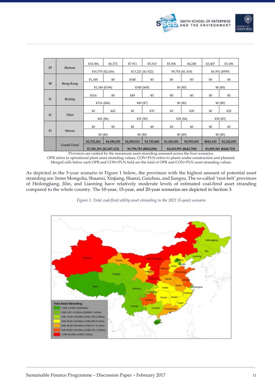

|                    |                | ¥10,384                  | 46,372     | ¥7,911       | ¥5,310                 | 45,506       | 44,248                 | ¥3,407       | ¥3,186                 |  |
|--------------------|----------------|--------------------------|------------|--------------|------------------------|--------------|------------------------|--------------|------------------------|--|
| 29                 | Hainan         | $416,755$ (\$2,436)      |            |              | ¥13,221 (\$1,922)      |              | ¥9,754 (\$1,418)       |              | ¥6,592 (\$959)         |  |
|                    |                | 41,348                   | $*0$       | 4340         | ¥0                     | ¥0           | ¥0                     | ¥0           | ¥0                     |  |
| 30                 | Hong Kong      | ¥1,348 (\$196)           |            |              | ¥340 (\$49)            |              | 40(60)                 |              | 40(60)                 |  |
|                    |                | 4316                     | $*0$       | ¥49          | ¥0                     | ¥0           | ¥0                     | ¥0           | ¥0                     |  |
| 31                 | <b>Beijing</b> | ¥316 (\$46)              |            | ¥49 (\$7)    |                        | 40(60)       |                        | 40(60)       |                        |  |
|                    |                | ¥0                       | 442        | ¥0           | 435                    | $*0$         | 428                    | ¥0           | 420                    |  |
| 32                 | Tibet          | $442($ \$6)              |            | ¥35 $($ \$5) |                        | ¥28 $($ \$4) |                        | ¥20 $($ \$3) |                        |  |
|                    |                | ¥0                       | $*0$       | ¥0           | ¥0                     | ¥0           | ¥0                     | ¥0           | ¥0                     |  |
| 33                 | Macau          | 40(60)                   |            | 40(50)       |                        | 40(60)       |                        | 40(60)       |                        |  |
|                    |                | ¥2,703,262               | ¥4,498,029 | 42,050,923   | ¥3,745,860             | ¥1,426,301   | ¥2,993,691             | ¥843,102     | ¥2,242,839             |  |
| <b>Grand Total</b> |                | ¥7,201,291 (\$1,047,122) |            |              | ¥5,796,783 (\$842,896) |              | ¥4,419,991 (\$642,700) |              | ¥3,085,941 (\$448,719) |  |

Provinces are ranked by the maximum asset stranding assessed across the four scenarios. OPR refers to operational plant asset stranding values, CON+PLN refers to plants under construction and planned.

Merged cells below each OPR and CON+PLN field are the total of OPR and CON+PLN asset stranding values.

As depicted in the 5-year scenario in Figure 1 below, the provinces with the highest amount of potential asset stranding are: Inner Mongolia, Shaanxi, Xinjiang, Shanxi, Guizhou, and Jiangsu. The so-called 'rust-belt' provinces of Heilongjiang, Jilin, and Liaoning have relatively moderate levels of estimated coal-fired asset stranding compared to the whole country. The 10-year, 15-year, and 20-year scenarios are depicted in Section 3.



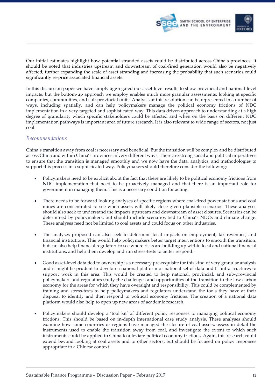

Our initial estimates highlight how potential stranded assets could be distributed across China's provinces. It should be noted that industries upstream and downstream of coal-fired generation would also be negatively affected; further expanding the scale of asset stranding and increasing the probability that such scenarios could significantly re-price associated financial assets.

In this discussion paper we have simply aggregated our asset-level results to show provincial and national-level impacts, but the bottom-up approach we employ enables much more granular assessments, looking at specific companies, communities, and sub-provincial units. Analysis at this resolution can be represented in a number of ways, including spatially, and can help policymakers manage the political economy frictions of NDC implementation in a very targeted and sophisticated way. This data driven approach to understanding at a high degree of granularity which specific stakeholders could be affected and when on the basis on different NDC implementation pathways is important area of future research. It is also relevant to wide range of sectors, not just coal.

#### *Recommendations*

China's transition away from coal is necessary and beneficial. But the transition will be complex and be distributed across China and within China's provinces in very different ways. There are strong social and political imperatives to ensure that the transition is managed smoothly and we now have the data, analytics, and methodologies to support this process in a sophisticated way. Policymakers should therefore consider the following:

- Policymakers need to be explicit about the fact that there are likely to be political economy frictions from NDC implementation that need to be proactively managed and that there is an important role for government in managing them. This is a necessary condition for acting.
- There needs to be forward looking analyses of specific regions where coal-fired power stations and coal mines are concentrated to see when assets will likely close given plausible scenarios. These analyses should also seek to understand the impacts upstream and downstream of asset closures. Scenarios can be determined by policymakers, but should include scenarios tied to China's NDCs and climate change. These analyses need not be limited to coal assets and could focus on other industries.
- The analyses proposed can also seek to determine local impacts on employment, tax revenues, and financial institutions. This would help policymakers better target interventions to smooth the transition, but can also help financial regulators to see where risks are building up within local and national financial institutions, and help them develop and run stress-tests to better respond.
- Good asset-level data tied to ownership is a necessary pre-requisite for this kind of very granular analysis and it might be prudent to develop a national platform or national set of data and IT infrastructures to support work in this area. This would be created to help national, provincial, and sub-provincial policymakers and regulators study the challenges and opportunities of the transition to the low carbon economy for the areas for which they have oversight and responsibility. This could be complemented by training and stress-tests to help policymakers and regulators understand the tools they have at their disposal to identify and then respond to political economy frictions. The creation of a national data platform would also help to open up new areas of academic research.
- Policymakers should develop a 'tool kit' of different policy responses to managing political economy frictions. This should be based on in-depth international case study analysis. These analyses should examine how some countries or regions have managed the closure of coal assets, assess in detail the instruments used to enable the transition away from coal, and investigate the extent to which such instruments could be applied to China to alleviate political economy frictions. Again, this research could extend beyond looking at coal assets and to other sectors, but should be focused on policy responses appropriate to a Chinese context.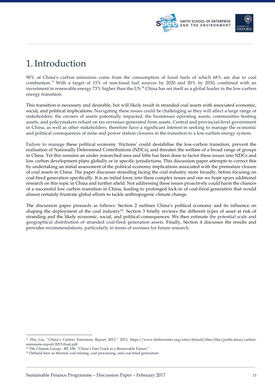



# 1.Introduction

90% of China's carbon emissions come from the consumption of fossil fuels of which 68% are due to coal combustion.<sup>17</sup> With a target of 15% of non-fossil fuel sources by 2020 and 20% by 2030, combined with an investment in renewable energy 73% higher than the US,<sup>18</sup> China has set itself as a global leader in the low-carbon energy transition.

This transition is necessary and desirable, but will likely result in stranded coal assets with associated economic, social, and political implications. Navigating these issues could be challenging as they will affect a large range of stakeholders: the owners of assets potentially impacted, the businesses operating assets, communities hosting assets, and policymakers reliant on tax revenues generated from assets. Central and provincial-level government in China, as well as other stakeholders, therefore have a significant interest in seeking to manage the economic and political consequences of mine and power station closures in the transition to a low-carbon energy system.

Failure to manage these political economy 'frictions' could destabilise the low-carbon transition, prevent the realisation of Nationally Determined Contributions (NDCs), and threaten the welfare of a broad range of groups in China. Yet this remains an under researched area and little has been done to factor these issues into NDCs and low carbon development plans globally or in specific jurisdictions. This discussion paper attempts to correct this by undertaking an initial assessment of the political economy implications associated with the premature closure of coal assets in China. The paper discusses stranding facing the coal industry more broadly, before focusing on coal-fired generation specifically. It is an initial foray into these complex issues and one we hope spurs additional research on this topic in China and further afield. Not addressing these issues proactively could harm the chances of a successful low carbon transition in China, leading to prolonged lock-in of coal-fired generation that would almost certainly frustrate global efforts to tackle anthropogenic climate change.

The discussion paper proceeds as follows. Section 2 outlines China's political economy and its influence on shaping the deployment of the coal industry19. Section 3 briefly reviews the different types of asset at risk of stranding and the likely economic, social, and political consequences. We then estimate the potential scale and geographical distribution of stranded coal-fired generation assets. Finally, Section 4 discusses the results and provides recommendations, particularly in terms of avenues for future research.

<sup>17</sup> Zhu Liu, "China's Carbon Emissions Report 2015," 2015, https://www.belfercenter.org/sites/default/files/files/publication/carbonemissions-report-2015-final.pdf.

<sup>18</sup> The Climate Group - RE 100, "China's Fast Track to a Renewable Future."

<sup>19</sup> Defined here as thermal coal mining, coal processing, and coal-fired generation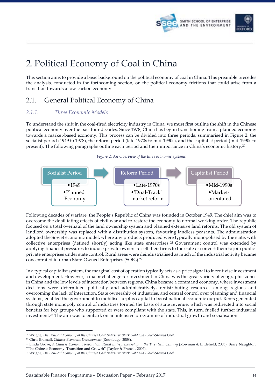



# 2. Political Economy of Coal in China

This section aims to provide a basic background on the political economy of coal in China. This preamble precedes the analysis, conducted in the forthcoming section, on the political economy frictions that could arise from a transition towards a low-carbon economy.

## 2.1. General Political Economy of China

### *2.1.1. Three Economic Models*

To understand the shift in the coal-fired electricity industry in China, we must first outline the shift in the Chinese political economy over the past four decades. Since 1978, China has begun transitioning from a planned economy towards a market-based economy. This process can be divided into three periods, summarised in Figure 2: the socialist period (1949 to 1978), the reform period (late-1970s to mid-1990s), and the capitalist period (mid-1990s to present). The following paragraphs outline each period and their importance in China's economic history.20

#### *Figure 2: An Overview of the three economic systems*



Following decades of warfare, the People's Republic of China was founded in October 1949. The chief aim was to overcome the debilitating effects of civil war and to restore the economy to normal working order. The republic focused on a total overhaul of the land ownership system and planned extensive land reforms. The old system of landlord ownership was replaced with a distribution system, favouring landless peasants. The administration adopted the Soviet economic model, where any products produced were typically monopolised by the state, with collective enterprises (defined shortly) acting like state enterprises. <sup>21</sup> Government control was extended by applying financial pressures to induce private owners to sell their firms to the state or convert them to join publicprivate enterprises under state control. Rural areas were deindustrialised as much of the industrial activity became concentrated in urban State-Owned Enterprises (SOEs).22

In a typical capitalist system, the marginal cost of operation typically acts as a price signal to incentivise investment and development. However, a major challenge for investment in China was the great variety of geographic zones in China and the low levels of interaction between regions. China became a command economy, where investment decisions were determined politically and administratively, redistributing resources among regions and overcoming the lack of interaction. State ownership of industries, and central control over planning and financial systems, enabled the government to mobilise surplus capital to boost national economic output. Rents generated through state monopoly control of industries formed the basis of state revenue, which was redirected into social benefits for key groups who supported or were compliant with the state. This, in turn, fuelled further industrial investment.23 The aim was to embark on an intensive programme of industrial growth and socialisation.

<sup>-</sup><sup>20</sup> Wright, *The Political Economy of the Chinese Coal Industry: Black Gold and Blood-Stained Coal*.

<sup>21</sup> Chris Bramall, *Chinese Economic Development* (Routledge, 2008).

<sup>22</sup> Linda Grove, *A Chinese Economic Revolution: Rural Entrepreneurship in the Twentieth Century* (Rowman & Littlefield, 2006); Barry Naughton,

<sup>&</sup>quot;The Chinese Economy: Transition and Growth" (Taylor & Francis, 2007).

<sup>23</sup> Wright, *The Political Economy of the Chinese Coal Industry: Black Gold and Blood-Stained Coal*.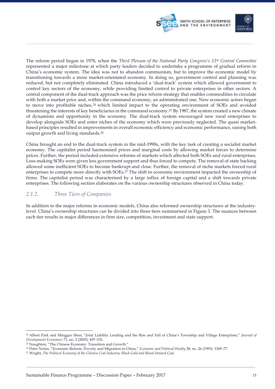

The reform period began in 1978, when the *Third Plenum of the National Party Congress's 11th Central Committee* represented a major milestone at which party leaders decided to undertake a programme of gradual reform in China's economic system. The idea was not to abandon communism, but to improve the economic model by transitioning towards a more market-orientated economy. In doing so, government control and planning was reduced, but not completely eliminated. China introduced a 'dual-track' system which allowed government to control key sectors of the economy, while providing limited control to private enterprises in other sectors. A central component of the dual-track approach was the price reform strategy that enables commodities to circulate with both a market price and, within the command economy, an administrated one. New economic actors began to move into profitable niches,<sup>24</sup> which limited impact to the operating environment of SOEs and avoided threatening the interests of key beneficiaries in the command economy.25 By 1987, the system created a new climate of dynamism and opportunity in the economy. The dual-track system encouraged new rural enterprises to develop alongside SOEs and enter niches of the economy which were previously neglected. The quasi marketbased principles resulted in improvements in overall economic efficiency and economic performance, raising both output growth and living standards.26

China brought an end to the dual-track system in the mid-1990s, with the key task of creating a socialist market economy. The capitalist period harmonised prices and marginal costs by allowing market forces to determine prices. Further, the period included extensive reforms of markets which affected both SOEs and rural enterprises. Loss-making SOEs were given less government support and thus forced to compete. The removal of state backing allowed some inefficient SOEs to become bankrupt and close. Further, the removal of niche markets forced rural enterprises to compete more directly with SOEs.27 The shift in economic environment impacted the ownership of firms. The capitalist period was characterised by a large influx of foreign capital and a shift towards private enterprises. The following section elaborates on the various ownership structures observed in China today.

#### *2.1.2. Three Tiers of Companies*

In addition to the major reforms in economic models, China also reformed ownership structures at the industrylevel. China's ownership structures can be divided into three tiers summarised in Figure 3. The nuances between each tier results in major differences in firm size, competition, investment and state support.

<sup>24</sup> Albert Park and Minggao Shen, "Joint Liability Lending and the Rise and Fall of China's Township and Village Enterprises," *Journal of Development Economics* 71, no. 2 (2003): 497–531.

<sup>25</sup> Naughton, "The Chinese Economy: Transition and Growth."

<sup>26</sup> Peter Nolan, "Economic Reform, Poverty and Migration in China," *Economic and Political Weekly* 28, no. 26 (1993): 1369–77.

<sup>27</sup> Wright, *The Political Economy of the Chinese Coal Industry: Black Gold and Blood-Stained Coal*.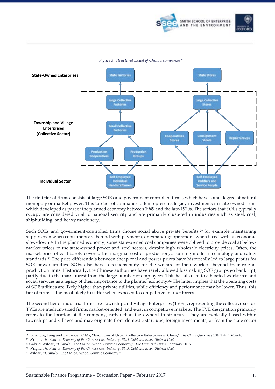





*Figure 3: Structural model of China's companies28*

The first tier of firms consists of large SOEs and government controlled firms, which have some degree of natural monopoly or market power. This top tier of companies often represents legacy investments in state-owned firms which developed as part of the planned economy between 1949 and the late-1970s. The sectors that SOEs typically occupy are considered vital to national security and are primarily clustered in industries such as steel, coal, shipbuilding, and heavy machinery.

Such SOEs and government-controlled firms choose social above private benefits,<sup>29</sup> for example maintaining supply even when consumers are behind with payments, or expanding operations when faced with an economic slow-down.30 In the planned economy, some state-owned coal companies were obliged to provide coal at belowmarket prices to the state-owned power and steel sectors, despite high wholesale electricity prices. Often, the market price of coal barely covered the marginal cost of production, assuming modern technology and safety standards.31 The price differentials between cheap coal and power prices have historically led to large profits for SOE power utilities. SOEs also have a responsibility for the welfare of their workers beyond their role as production units. Historically, the Chinese authorities have rarely allowed lossmaking SOE groups go bankrupt, partly due to the mass unrest from the large number of employees. This has also led to a bloated workforce and social services as a legacy of their importance to the planned economy.32 The latter implies that the operating costs of SOE utilities are likely higher than private utilities, while efficiency and performance may be lower. Thus, this tier of firms is the most likely to suffer when exposed to competitive market forces.

The second tier of industrial firms are Township and Village Enterprises (TVEs), representing the collective sector. TVEs are medium-sized firms, market-oriented, and exist in competitive markets. The TVE designation primarily refers to the location of the company, rather than the ownership structure. They are typically based within townships and villages and may originate from domestic start-ups, foreign investments, or from the state sector

<sup>28</sup> Jianzhong Tang and Laurence J C Ma, "Evolution of Urban Collective Enterprises in China," *The China Quarterly* 104 (1985): 614–40.

<sup>29</sup> Wright, *The Political Economy of the Chinese Coal Industry: Black Gold and Blood-Stained Coal*.

<sup>30</sup> Gabriel Wildau, "China's : The State-Owned Zombie Economy," *The Financial Times*, February 2016.

<sup>31</sup> Wright, *The Political Economy of the Chinese Coal Industry: Black Gold and Blood-Stained Coal*.

<sup>32</sup> Wildau, "China's : The State-Owned Zombie Economy."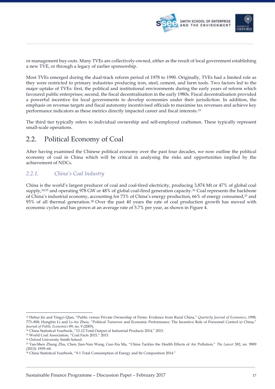

or management buy-outs. Many TVEs are collectively-owned, either as the result of local government establishing a new TVE, or through a legacy of earlier sponsorship.

Most TVEs emerged during the dual-track reform period of 1978 to 1990. Originally, TVEs had a limited role as they were restricted to primary industries producing iron, steel, cement, and farm tools. Two factors led to the major uptake of TVEs: first, the political and institutional environments during the early years of reform which favoured public enterprises; second, the fiscal decentralisation in the early 1980s. Fiscal decentralisation provided a powerful incentive for local governments to develop economies under their jurisdiction. In addition, the emphasis on revenue targets and fiscal autonomy incentivised officials to maximise tax revenues and achieve key performance indicators as these metrics directly impacted career and fiscal interests.33

The third tier typically refers to individual ownership and self-employed craftsmen. These typically represent small-scale operations.

### 2.2. Political Economy of Coal

After having examined the Chinese political economy over the past four decades, we now outline the political economy of coal in China which will be critical in analysing the risks and opportunities implied by the achievement of NDCs.

### *2.2.1. China's Coal Industry*

China is the world's largest producer of coal and coal-fired electricity, producing 3,874 Mt or 47% of global coal supply,<sup>34,35</sup> and operating 978 GW or 48% of global coal-fired generation capacity.<sup>36</sup> Coal represents the backbone of China's industrial economy, accounting for 73% of China's energy production, 66% of energy consumed,37 and 93% of all thermal generation.38 Over the past 40 years the rate of coal production growth has moved with economic cycles and has grown at an average rate of 5.7% per year, as shown in Figure 4.

<sup>33</sup> Hehui Jin and Yingyi Qian, "Public versus Private Ownership of Firms: Evidence from Rural China," *Quarterly Journal of Economics*, 1998, 773–808; Hongbin Li and Li-An Zhou, "Political Turnover and Economic Performance: The Incentive Role of Personnel Control in China," *Journal of Public Economics* 89, no. 9 (2005).

<sup>&</sup>lt;sup>34</sup> China Statistical Yearbook, "13-12 Total Output of Industrial Products 2014," 2015.

<sup>35</sup> World Coal Association, "Coal Facts 2015," 2015.

<sup>36</sup> Oxford University Smith School.

<sup>37</sup> Yan-Shen Zhang Zhu, Chen; Jian-Nan Wang, Guo-Xia Ma, "China Tackles the Health Effects of Air Pollution," *The Lancet* 382, no. 9909 (2013): 1959–60.

<sup>38</sup> China Statistical Yearbook, "9-1 Total Consumption of Energy and Its Composition 2014."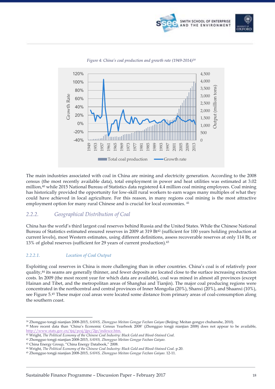



#### *Figure 4: China's coal production and growth rate (1949-2014)39*

The main industries associated with coal in China are mining and electricity generation. According to the 2008 census (the most recently available data), total employment in power and heat utilities was estimated at 3.02 million,40 while 2015 National Bureau of Statistics data registered 4.4 million coal mining employees. Coal mining has historically provided the opportunity for low-skill rural workers to earn wages many multiples of what they could have achieved in local agriculture. For this reason, in many regions coal mining is the most attractive employment option for many rural Chinese and is crucial for local economies. <sup>41</sup>

#### *2.2.2. Geographical Distribution of Coal*

China has the world's third largest coal reserves behind Russia and the United States. While the Chinese National Bureau of Statistics estimated ensured reserves in 2009 at 319 Bt<sup>42</sup> (sufficient for 100 years holding production at current levels), most Western estimates, using different definitions, assess recoverable reserves at only 114 Bt, or 13% of global reserves (sufficient for 29 years of current production).43

#### *2.2.2.1. Location of Coal Output*

Exploiting coal reserves in China is more challenging than in other countries. China's coal is of relatively poor quality,44 its seams are generally thinner, and fewer deposits are located close to the surface increasing extraction costs. In 2009 (the most recent year for which data are available), coal was mined in almost all provinces (except Hainan and Tibet, and the metropolitan areas of Shanghai and Tianjin). The major coal producing regions were concentrated in the northcentral and central provinces of Inner Mongolia (20%), Shanxi (20%), and Shaanxi (10%), see Figure 5.45 These major coal areas were located some distance from primary areas of coal-consumption along the southern coast.

<sup>39</sup> Zhongguo tongji nianjian 2008-2015, *SAWS, Zhongguo Meitan Gongye Fazhan Gaiyao* (Beijing: Meitan gongye chubanshe, 2010).

<sup>40</sup> More recent data than 'China's Economic Census Yearbook 2008' (Zhongguo tongji nianjian 2008) does not appear to be available, http://www.stats.gov.cn/tjsj/pcsj/jjpc/2jp/indexce.htm. 41 Wright, *The Political Economy of the Chinese Coal Industry: Black Gold and Blood-Stained Coal*.

<sup>42</sup> Zhongguo tongji nianjian 2008-2015, *SAWS, Zhongguo Meitan Gongye Fazhan Gaiyao*.

<sup>43</sup> China Energy Group, "China Energy Databook," 2008.

<sup>44</sup> Wright, *The Political Economy of the Chinese Coal Industry: Black Gold and Blood-Stained Coal*. p.20.

<sup>45</sup> Zhongguo tongji nianjian 2008-2015, *SAWS, Zhongguo Meitan Gongye Fazhan Gaiyao*. 12-11.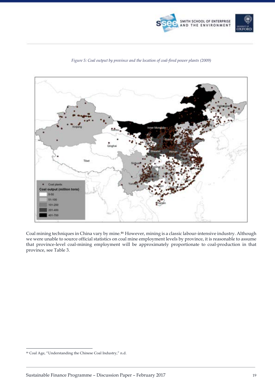



#### *Figure 5: Coal output by province and the location of coal-fired power plants (2009)*

Coal mining techniques in China vary by mine.46 However, mining is a classic labour-intensive industry. Although we were unable to source official statistics on coal mine employment levels by province, it is reasonable to assume that province-level coal-mining employment will be approximately proportionate to coal-production in that province, see Table 3.

 <sup>46</sup> Coal Age, "Understanding the Chinese Coal Industry," n.d.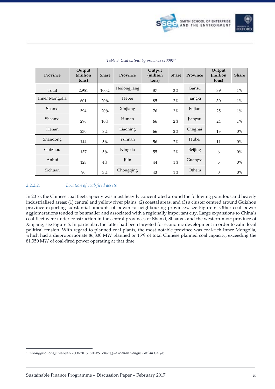

| Province       | Output<br>(million<br>tons) | <b>Share</b> | Province     | Output<br>(million<br>tons) | <b>Share</b> | Province | Output<br>million)<br>tons) | <b>Share</b> |
|----------------|-----------------------------|--------------|--------------|-----------------------------|--------------|----------|-----------------------------|--------------|
| Total          | 2,951                       | 100%         | Heilongjiang | 87                          | 3%           | Gansu    | 39                          | $1\%$        |
| Inner Mongolia | 601                         | 20%          | Hebei        | 85                          | 3%           | Jiangxi  | 30                          | $1\%$        |
| Shanxi         | 594                         | 20%          | Xinjiang     | 76                          | 3%           | Fujian   | 25                          | $1\%$        |
| Shaanxi        | 296                         | 10%          | Hunan        | 66                          | 2%           | Jiangsu  | 24                          | $1\%$        |
| Henan          | 230                         | 8%           | Liaoning     | 66                          | 2%           | Qinghai  | 13                          | $0\%$        |
| Shandong       | 144                         | 5%           | Yunnan       | 56                          | 2%           | Hubei    | 11                          | $0\%$        |
| Guizhou        | 137                         | 5%           | Ningxia      | 55                          | 2%           | Beijing  | 6                           | 0%           |
| Anhui          | 128                         | 4%           | Jilin        | 44                          | 1%           | Guangxi  | 5                           | 0%           |
| Sichuan        | 90                          | 3%           | Chongqing    | 43                          | 1%           | Others   | $\boldsymbol{0}$            | $0\%$        |

#### *Table 3: Coal output by province (2009)47*

#### *2.2.2.2. Location of coal-fired assets*

In 2016, the Chinese coal fleet capacity was most heavily concentrated around the following populous and heavily industrialised areas: (1) central and yellow river plains, (2) coastal areas, and (3) a cluster centred around Guizhou province exporting substantial amounts of power to neighbouring provinces, see Figure 6. Other coal power agglomerations tended to be smaller and associated with a regionally important city. Large expansions to China's coal fleet were under construction in the central provinces of Shanxi, Shaanxi, and the western-most province of Xinjiang, see Figure 6. In particular, the latter had been targeted for economic development in order to calm local political tension. With regard to planned coal plants, the most notable province was coal-rich Inner Mongolia, which had a disproportionate 86,830 MW planned or 15% of total Chinese planned coal capacity, exceeding the 81,350 MW of coal-fired power operating at that time.

<sup>47</sup> Zhongguo tongji nianjian 2008-2015, *SAWS, Zhongguo Meitan Gongye Fazhan Gaiyao*.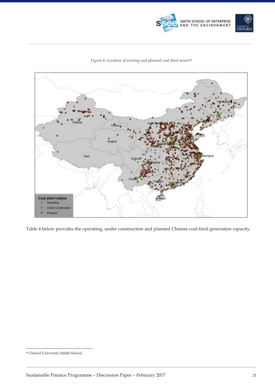



*Figure 6: Location of existing and planned coal-fired assets48*

Table 4 below provides the operating, under construction and planned Chinese coal-fired generation capacity.

 <sup>48</sup> Oxford University Smith School.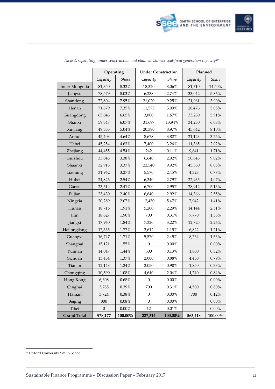

|                    | Operating        |          | <b>Under Construction</b> |            | Planned  |            |  |
|--------------------|------------------|----------|---------------------------|------------|----------|------------|--|
|                    | Capacity         | Share    | Capacity                  | Share      | Capacity | Share      |  |
| Inner Mongolia     | 81,350           | 8.32%    | 18,320                    | 8.06%      | 81,710   | 14.50%     |  |
| Jiangsu            | 78,579           | 8.03%    | 6,238                     | 2.74%      | 33,042   | 5.86%      |  |
| Shandong           | 77,804           | 7.95%    | 21,020                    | 9.25%      | 21,961   | 3.90%      |  |
| Henan              | 71,879           | 7.35%    | 11,575                    | 5.09%      | 28,476   | 5.05%      |  |
| Guangdong          | 65,048           | 6.65%    | 3,800                     | 1.67%      | 33,280   | 5.91%      |  |
| Shanxi             | 59,347           | $6.07\%$ | 31,697                    | 13.94%     | 34,230   | $6.08\%$   |  |
| Xinjiang           | 49,333           | 5.04%    | 20,380                    | 8.97%      | 45,642   | $8.10\%$   |  |
| Anhui              | 45,403           | 4.64%    | 8,678                     | 3.82%      | 21,123   | 3.75%      |  |
| Hebei              | 45,254           | 4.63%    | 7,400                     | 3.26%      | 11,365   | 2.02%      |  |
| Zhejiang           | 44,455           | $4.54\%$ | 242                       | $0.11\%$   | 9,641    | $1.71\%$   |  |
| Guizhou            | 33,045           | $3.38\%$ | 6,640                     | 2.92%      | 50,845   | 9.02%      |  |
| Shaanxi            | 32,918           | 3.37%    | 22,540                    | 9.92%      | 45,360   | 8.05%      |  |
| Liaoning           | 31,962           | 3.27%    | 5,570                     | 2.45%      | 4,323    | 0.77%      |  |
| Hubei              | 24,826           | 2.54%    | 6,340                     | 2.79%      | 22,935   | 4.07%      |  |
| Gansu              | 23,614           | 2.41%    | 6,700                     | 2.95%      | 28,912   | 5.13%      |  |
| Fujian             | 23,430           | 2.40%    | 6,640                     | 2.92%      | 14,366   | 2.55%      |  |
| Ningxia            | 20,289           | $2.07\%$ | 12,430                    | 5.47%      | 7,942    | $1.41\%$   |  |
| Hunan              | 18,716           | 1.91%    | 5,200                     | 2.29%      | 14,144   | $2.51\%$   |  |
| Jilin              | 18,627           | 1.90%    | 700                       | 0.31%      | 7,770    | 1.38%      |  |
| Jiangxi            | 17,960           | 1.84%    | 7,320                     | 3.22%      | 12,725   | 2.26%      |  |
| Heilongjiang       | 17,335           | $1.77\%$ | 2,612                     | 1.15%      | 6,822    | 1.21%      |  |
| Guangxi            | 16,747           | 1.71%    | 5,570                     | 2.45%      | 8,764    | $1.56\%$   |  |
| Shanghai           | 15,121           | 1.55%    | $\mathbf{0}$              | $0.00\%$   |          | $0.00\%$   |  |
| Yunnan             | 14,047           | $1.44\%$ | 300                       | 0.13%      | 1,800    | $0.32\%$   |  |
| Sichuan            | 13,434           | 1.37%    | 2,000                     | $0.88\%$   | 4,450    | $0.79\%$   |  |
| Tianjin            | 12,148           | 1.24%    | 2,050                     | 0.90%      | 1,850    | 0.33%      |  |
| Chongqing          | 10,590           | $1.08\%$ | 4,640                     | 2.04%      | 4,740    | $0.84\,\%$ |  |
| Hong Kong          | 6,608            | 0.68%    | 0                         | 0.00%      |          | 0.00%      |  |
| Qinghai            | 3,785            | 0.39%    | 700                       | 0.31%      | 4,500    | $0.80\%$   |  |
| Hainan             | 3,724            | $0.38\%$ | $\boldsymbol{0}$          | $0.00\%$   | 700      | 0.12%      |  |
| Beijing            | 800              | $0.08\%$ | $\boldsymbol{0}$          | $0.00\%$   |          | $0.00\%$   |  |
| Tibet              | $\boldsymbol{0}$ | $0.00\%$ | 12                        | 0.01%      |          | $0.00\%$   |  |
| <b>Grand Total</b> | 978,177          | 100.00%  | 227,314                   | $100.00\%$ | 563,418  | $100.00\%$ |  |

#### *Table 4: Operating, under construction and planned Chinese coal-fired generation capacity49*

 <sup>49</sup> Oxford University Smith School.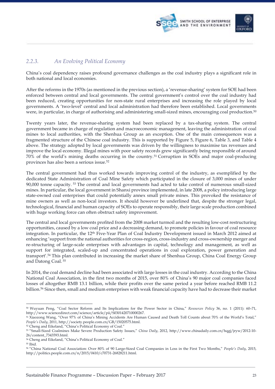



### *2.2.3. An Evolving Political Economy*

China's coal dependency raises profound governance challenges as the coal industry plays a significant role in both national and local economies.

After the reforms in the 1970s (as mentioned in the previous section), a 'revenue-sharing' system for SOE had been enforced between central and local governments. The central government's control over the coal industry had been reduced, creating opportunities for non-state rural enterprises and increasing the role played by local governments. A 'two-level' central and local administration had therefore been established. Local governments were, in particular, in charge of authorising and administering small-sized mines, encouraging coal production.50

Twenty years later, the revenue-sharing system had been replaced by a tax-sharing system. The central government became in charge of regulation and macroeconomic management, leaving the administration of coal mines to local authorities, with the Shenhua Group as an exception. One of the main consequences was a fragmented structure of the Chinese coal industry. This is supported by Figure 5, Figure 6, Table 3, and Table 4 above. The strategy adopted by local governments was driven by the willingness to maximise tax revenues and improve the local economy. Illegal mines with poor safety records grew significantly being responsible of around 70% of the world's mining deaths occurring in the country.51 Corruption in SOEs and major coal-producing provinces has also been a serious issue.52

The central government had thus worked towards improving control of the industry, as exemplified by the dedicated State Administration of Coal Mine Safety which participated in the closure of 3,000 mines of under 90,000 tonne capacity. <sup>53</sup> The central and local governments had acted to take control of numerous small-sized mines. In particular, the local government in Shanxi province implemented, in late 2008, a policy introducing large state-owned coal enterprises that could potentially annex small private mines. This provoked the resistance of mine owners as well as non-local investors. It should however be underlined that, despite the stronger legal, technological, financial and human capacity of SOEs to operate responsibly, their large scale production combined with huge working force can often obstruct safety improvement.

The central and local governments profited from the 2008 market turmoil and the resulting low-cost restructuring opportunities, caused by a low coal price and a decreasing demand, to promote policies in favour of coal resource integration. In particular, the 12th Five-Year Plan of Coal Industry Development issued in March 2012 aimed at enhancing 'support from the national authorities for cross-region, cross-industry and cross-ownership merger and re-structuring of large-scale enterprises with advantages in capital, technology and management, as well as support for integrated, scaled-up and concentrated operations in coal exploration, power generation and transport'.54 This plan contributed in increasing the market share of Shenhua Group, China Coal Energy Group and Datong Coal. <sup>55</sup>

In 2014, the coal demand decline had been associated with large losses in the coal industry. According to the China National Coal Association, in the first two months of 2015, over 80% of China's 90 major coal companies faced losses of altogether RMB 13.1 billion, while their profits over the same period a year before reached RMB 11.2 billion.56 Since then, small and medium enterprises with weak financial capacity have had to decrease their market

<sup>-</sup><sup>50</sup> Wuyuan Peng, "Coal Sector Reform and Its Implications for the Power Sector in China," *Resources Policy* 36, no. 1 (2011): 60–71, http://www.sciencedirect.com/science/article/pii/S0301420710000267.

<sup>51</sup> Xiaozong Wang, "Over 97% of China's Mining Accidents Are Human Caused and Death Toll Counts about 70% of the World's Total," *People's Daily*, 2011, http://society.people.com.cn/GB/15020575.html.

<sup>52</sup> Cheng and Eikeland, "China's Political Economy of Coal."

<sup>53</sup> "Small-Sized Coalmines Make Severe Production Safety Issues," *China Daily*, 2012, http://www.chinadaily.com.cn/hqgj/jryw/2012-10- 26/content\_7343593.html.

<sup>54</sup> Cheng and Eikeland, "China's Political Economy of Coal."

<sup>55</sup> Ibid.

<sup>56</sup> "China National Coal Association: Over 80% of 90 Large-Sized Coal Companies in Loss in the First Two Months," *People's Daily*, 2015, http://politics.people.com.cn/n/2015/0410/c70731-26828211.html.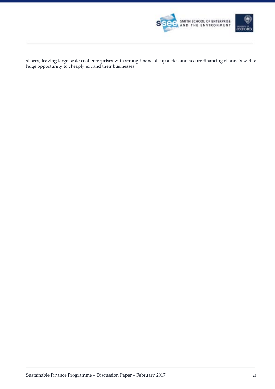

shares, leaving large-scale coal enterprises with strong financial capacities and secure financing channels with a huge opportunity to cheaply expand their businesses.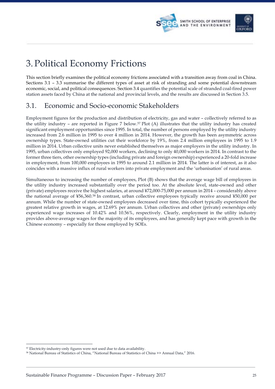



# 3. Political Economy Frictions

This section briefly examines the political economy frictions associated with a transition away from coal in China. Sections 3.1 – 3.3 summarise the different types of asset at risk of stranding and some potential downstream economic, social, and political consequences. Section 3.4 quantifies the potential scale of stranded coal-fired power station assets faced by China at the national and provincial levels, and the results are discussed in Section 3.5.

### 3.1. Economic and Socio-economic Stakeholders

Employment figures for the production and distribution of electricity, gas and water – collectively referred to as the utility industry – are reported in Figure 7 below.57 Plot (A) illustrates that the utility industry has created significant employment opportunities since 1995. In total, the number of persons employed by the utility industry increased from 2.6 million in 1995 to over 4 million in 2014. However, the growth has been asymmetric across ownership types. State-owned utilities cut their workforce by 19%, from 2.4 million employees in 1995 to 1.9 million in 2014. Urban collective units never established themselves as major employers in the utility industry. In 1995, urban collectives only employed 92,000 workers, declining to only 40,000 workers in 2014. In contrast to the former three tiers, other ownership types (including private and foreign ownership) experienced a 20-fold increase in employment, from 100,000 employees in 1995 to around 2.1 million in 2014. The latter is of interest, as it also coincides with a massive influx of rural workers into private employment and the 'urbanisation' of rural areas.

Simultaneous to increasing the number of employees, Plot (B) shows that the average wage bill of employees in the utility industry increased substantially over the period too. At the absolute level, state-owned and other (private) employees receive the highest salaries, at around ¥72,000-75,000 per annum in 2014 – considerably above the national average of ¥56,360.58 In contrast, urban collective employees typically receive around ¥50,000 per annum. While the number of state-owned employees decreased over time, this cohort typically experienced the greatest relative growth in wages, at 12.69% per annum. Urban collectives and other (private) ownerships only experienced wage increases of 10.42% and 10.56%, respectively. Clearly, employment in the utility industry provides above-average wages for the majority of its employees, and has generally kept pace with growth in the Chinese economy – especially for those employed by SOEs.

<sup>57</sup> Electricity-industry-only figures were not used due to data availability. 58 National Bureau of Statistics of China, "National Bureau of Statistics of China >> Annual Data," 2016.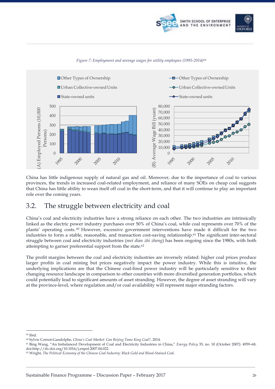





#### *Figure 7: Employment and average wages for utility employees (1995-2014)59*

China has little indigenous supply of natural gas and oil. Moreover, due to the importance of coal to various provinces, the trends in increased coal-related employment, and reliance of many SOEs on cheap coal suggests that China has little ability to wean itself off coal in the short-term, and that it will continue to play an important role over the coming years.

### 3.2. The struggle between electricity and coal

China's coal and electricity industries have a strong reliance on each other. The two industries are intrinsically linked as the electric power industry purchases over 50% of China's coal, while coal represents over 70% of the plants' operating costs. <sup>60</sup> However, excessive government interventions have made it difficult for the two industries to form a stable, reasonable, and transaction cost-saving relationship.61 The significant inter-sectoral struggle between coal and electricity industries (*mei dian zhi zheng*) has been ongoing since the 1980s, with both attempting to garner preferential support from the state.62

The profit margins between the coal and electricity industries are inversely related: higher coal prices produce larger profits in coal mining but prices negatively impact the power industry. While this is intuitive, the underlying implications are that the Chinese coal-fired power industry will be particularly sensitive to their changing resource landscape in comparison to other countries with more diversified generation portfolios, which could potentially lead to significant amounts of asset stranding. However, the degree of asset stranding will vary at the province-level, where regulation and/or coal availability will represent major stranding factors.

<sup>59</sup> Ibid.

<sup>60</sup> Sylvie Cornot-Gandolphe, *China's Coal Market: Can Beijing Tame King Coal?*, 2014.

<sup>61</sup> Bing Wang, "An Imbalanced Development of Coal and Electricity Industries in China," *Energy Policy* 35, no. 10 (October 2007): 4959–68, doi:http://dx.doi.org/10.1016/j.enpol.2007.04.022.

<sup>62</sup> Wright, *The Political Economy of the Chinese Coal Industry: Black Gold and Blood-Stained Coal*.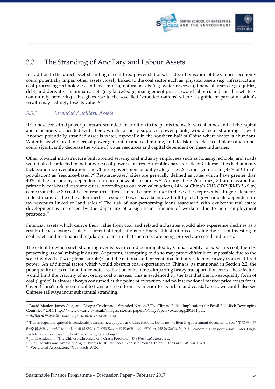



## 3.3. The Stranding of Ancillary and Labour Assets

In addition to the direct asset-stranding of coal-fired power stations, the decarbonisation of the Chinese economy could potentially impair other assets closely linked to the coal sector such as, physical assets (e.g. infrastructure, coal processing technologies, and coal mines), natural assets (e.g. water reserves), financial assets (e.g. equities, debt, and derivatives), human assets (e.g. knowledge, management practices, and labour), and social assets (e.g. community networks). This gives rise to the so-called 'stranded nations' where a significant part of a nation's wealth may lastingly lose its value.<sup>63</sup>

### *3.3.1. Stranded Ancillary Assets*

If Chinese coal-fired power plants are stranded, in addition to the plants themselves, coal mines and all the capital and machinery associated with them, which formerly supplied power plants, would incur stranding as well. Another potentially stranded asset is water, especially in the southern half of China where water is abundant. Water is heavily used in thermal power generation and coal mining, and decisions to close coal plants and mines could significantly decrease the value of water resources and capital dependent on these industries.

Other physical infrastructure built around serving coal industry employees such as housing, schools, and roads would also be affected by nationwide coal-power closures. A notable characteristic of Chinese cities is that many lack economic diversification. The Chinese government actually categorises 263 cities (comprising 48% of China's population) as 'resource-based'.64 Resource-based cities are generally defined as cities which have greater than 40% of their economy dependent on non-renewable resources.65 Among these 263 cities, 80 are classified as primarily coal-based resource cities. According to our own calculations, 14% of China's 2013 GDP (RMB 56.9 tn) came from these 80 coal-based resource cities. The real estate market in these cities represents a huge risk factor. Indeed many of the cities identified as resource-based have been overbuilt by local governments dependent on tax revenues linked to land sales.<sup>66</sup> The risk of non-performing loans associated with exuberant real estate development is increased by the departure of a significant fraction of workers due to poor employment prospects.67

Financial assets which derive their value from coal and related industries would also experience declines as a result of coal closures. This has potential implications for financial institutions assessing the risk of investing in coal assets and for financial regulators to ensure that such risks are being properly assessed and priced.

The extent to which such stranding events occur could be mitigated by China's ability to export its coal, thereby preserving its coal mining industry. At present, attempting to do so may prove difficult or impossible due to the scale involved (47% of global supply)<sup>68</sup> and the national and international initiatives to move away from coal-fired power. An additional factor which would obstruct coal exportation in China is, as mentioned in Section 2.2, the poor quality of its coal and the remote localisation of its mines, imparting heavy transportation costs. These factors would limit the viability of exporting coal overseas. This is evidenced by the fact that the lowest-quality form of coal (lignite) is almost always consumed at the point of extraction and no international market price exists for it. Given China's reliance on rail to transport coal from its interior to its urban and coastal areas, we could also see Chinese railways incur substantial stranding.

<sup>&</sup>lt;sup>63</sup> David Manley, James Cust, and Giorgia Cecchinato, "Stranded Nations? The Climate Policy Implications for Fossil Fuel-Rich Developing Countries," 2016, http://www.oxcarre.ox.ac.uk/images/stories/papers/PolicyPapers/oxcarrepp201634.pdf. <sup>64</sup> 中国城市统计年鉴 *China City Statistical Yearbook*, 2014.

<sup>65</sup> This is regularly quoted in academic journals, newspapers and dissertations, but is not written in government documents, see: "发展特色旅 游:阜新转型又一新思路.""技术创新视角下的资源型城市经济转型—基于枣庄市经济转型的案例分析 Economic Transformation under High-Tech Innovation: Case Study of Zaozhuang, Shandong."

<sup>66</sup> Jamil Anderlini, "The Chinese Chronicle of a Crash Foretold," *The Financial Times*, n.d.

<sup>67</sup> Lucy Hornby and Archie Zhang, "China's Rust Belt Faces Exodus of Young Talent," *The Financial Times*, n.d.

<sup>68</sup> World Coal Association, "Coal Facts 2015."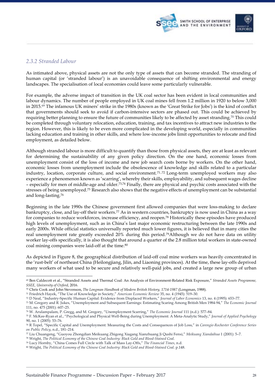



### *2.3.2 Stranded Labour*

As intimated above, physical assets are not the only type of assets that can become stranded. The stranding of human capital (or 'stranded labour') is an unavoidable consequence of shifting environmental and energy landscapes. The specialisation of local economies could leave some particularly vulnerable.

For example, the adverse impact of transition in the UK coal sector has been evident in local communities and labour dynamics. The number of people employed in UK coal mines fell from 1.2 million in 1920 to below 3,000 in 2015.69 The infamous UK miners' strike in the 1980s (known as the 'Great Strike for Jobs') is the kind of conflict that governments should seek to avoid if carbon-intensive sectors are phased out. This could be achieved by requiring better planning to ensure the future of communities likely to be affected by asset stranding.70 This could be completed through voluntary relocation, education, training, and tax incentives to attract new industries to the region. However, this is likely to be even more complicated in the developing world, especially in communities lacking education and training in other skills, and where low-income jobs limit opportunities to relocate and find employment, as detailed below.

Although stranded labour is more difficult to quantify than those from physical assets, they are at least as relevant for determining the sustainability of any given policy direction. On the one hand, economic losses from unemployment consist of the loss of income and new job search costs borne by workers. On the other hand, economic losses from unemployment include the obsolescence of knowledge and skills related to a particular industry, location, corporate culture, and social environment.<sup>71,72</sup> Long-term unemployed workers may also experience a phenomenon known as 'scarring', whereby their skills, employability, and subsequent wages decline – especially for men of middle-age and older.73,74 Finally, there are physical and psychic costs associated with the stresses of being unemployed.75 Research also shows that the negative effects of unemployment can be substantial and long-lasting.76

Beginning in the late 1990s the Chinese government first allowed companies that were loss-making to declare bankruptcy, close, and lay-off their workers.77 As in western countries, bankruptcy is now used in China as a way for companies to reduce workforces, increase efficiency, and reopen.78 Historically these episodes have produced high levels of unemployment, such as in China's last major economic restructuring between the late 1990s and early 2000s. While official statistics universally reported much lower figures, it is believed that in many cities the real unemployment rate greatly exceeded 20% during this period.79Although we do not have data on utility worker lay-offs specifically, it is also thought that around a quarter of the 2.8 million total workers in state-owned coal mining companies were laid-off at the time.80

As depicted in Figure 8, the geographical distribution of laid-off coal mine workers was heavily concentrated in the 'rust-belt' of northeast China (Heilongjiang, Jilin, and Liaoning provinces). At the time, these lay-offs deprived many workers of what used to be secure and relatively well-paid jobs, and created a large new group of urban

 <sup>69</sup> Ben Caldecott et al., "Stranded Assets and Thermal Coal: An Analysis of Environment-Related Risk Exposure," *Stranded Assets Programme, SSEE, University of Oxford*, 2016.

<sup>70</sup> Chris Cook and John Stevenson, *The Longman Handbook of Modern British History, 1714-1987* (Longman, 1988).

<sup>71</sup> Friedrich Hayek, "The Use of Knowledge in Society," *American Economic Review* 35, no. 4 (1945): 519–30.

<sup>72</sup> D Neal, "Industry-Specific Human Capital: Evidence from Displaced Workers," *Journal of Labor Economics* 13, no. 4 (1995): 653–77.

<sup>73</sup> M. Gregory and R. Jukes, "Unemployment and Subsequent Earnings: Estimating Scaring Among British Men 1984-94," *The Economic Journal* 111, no. 475 (2001): 607–25.

<sup>74</sup> W. Arulampalam, P. Gregg, and M. Gregory, "Unemployment Scarring," *The Economic Journal* 111 (n.d.): 577–84.

<sup>75</sup> F. McKee-Ryan et al., "Psychological and Physical Well-Being during Unemployment: A Meta-Analytic Study," *Journal of Applied Psychology* 90, no. 1 (2005): 53–76.

<sup>76</sup> R Topel, "Specific Capital and Unemployment: Measuring the Costs and Consequences of Job Loss," in *Carengie-Rochester Conference Series on Public Policy*, n.d., 181–214.

<sup>77</sup> Liu Chuangeng, "Guoyou Zhongdian Meikuang Zhigong Xiagang Xianzhuang Ji Qushi Fenxi," *Meikuang Xiandaihua* 1 (2001): 5–7.

<sup>78</sup> Wright, *The Political Economy of the Chinese Coal Industry: Black Gold and Blood-Stained Coal*.

<sup>79</sup> Lucy Hornby, "China Comes Full Circle with Talk of Mass Lay-Offs," *The Financial Times*, n.d.

<sup>80</sup> Wright, *The Political Economy of the Chinese Coal Industry: Black Gold and Blood-Stained Coal*. p.148.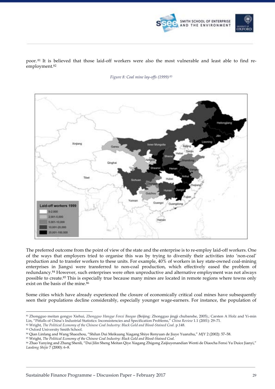

poor. <sup>81</sup> It is believed that those laid-off workers were also the most vulnerable and least able to find reemployment.82

*Figure 8: Coal mine lay-offs (1999) <sup>83</sup>*



The preferred outcome from the point of view of the state and the enterprise is to re-employ laid-off workers. One of the ways that employers tried to organise this was by trying to diversify their activities into 'non-coal' production and to transfer workers to these units. For example, 40% of workers in key state-owned coal-mining enterprises in Jiangxi were transferred to non-coal production, which effectively eased the problem of redundancy.84 However, such enterprises were often unproductive and alternative employment was not always possible to create.85 This is especially true because many mines are located in remote regions where towns only exist on the basis of the mine.<sup>86</sup>

Some cities which have already experienced the closure of economically critical coal mines have subsequently seen their populations decline considerably, especially younger wage-earners. For instance, the population of

<sup>83</sup> Oxford University Smith School.

 <sup>81</sup> Zhongguo meitan gongye Xiehui, *Zhongguo Hangye Fenxi Baogao* (Beijing: Zhongguo jingji chubanshe, 2005).; Carsten A Holz and Yi-min Lin, "Pitfalls of China's Industrial Statistics: Inconsistencies and Specification Problems," *China Review* 1.1 (2001): 29–71.

<sup>82</sup> Wright, *The Political Economy of the Chinese Coal Industry: Black Gold and Blood-Stained Coal*. p.148.

<sup>84</sup> Qian Linfang and Wang Shaozhou, "Shilun Dui Meikuang Xiagang Shiye Renyuan de Jiuye Yuanzhu," *MJY* 2 (2002): 57–58.

<sup>85</sup> Wright, *The Political Economy of the Chinese Coal Industry: Black Gold and Blood-Stained Coal*.

<sup>86</sup> Zhao Yanying and Zhang Shenli, "Dui Jilin Sheng Meitan Qiye Xiagang Zhigong Zaijiuyenandian Wenti de Diaocha Fenxi Yu Duice Jianyi," *Laodong Shijie* 7 (2000): 6–8.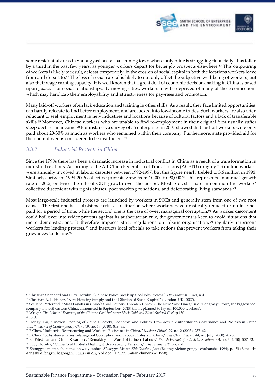

some residential areas in Shuangyashan - a coal-mining town whose only mine is struggling financially - has fallen by a third in the past few years, as younger workers depart for better job prospects elsewhere.87 This outpouring of workers is likely to result, at least temporarily, in the erosion of social capital in both the locations workers leave from and depart to.88 The loss of social capital is likely to not only affect the subjective well-being of workers, but also their wage earning capacity. It is well known that a great deal of economic decision-making in China is based upon *guanxi* – or social relationships. By moving cities, workers may be deprived of many of these connections which may handicap their employability and attractiveness for pay-rises and promotion.

Many laid-off workers often lack education and training in other skills. As a result, they face limited opportunities, can hardly relocate to find better employment, and are locked into low-income trades. Such workers are also often reluctant to seek employment in new industries and locations because of cultural factors and a lack of transferable skills.89 Moreover, Chinese workers who are unable to find re-employment in their original firm usually suffer steep declines in income.90 For instance, a survey of 55 enterprises in 2001 showed that laid-off workers were only paid about 20-30% as much as workers who remained within their company. Furthermore, state provided aid for the unemployed is considered to be insufficient.<sup>91</sup>

### *3.3.2. Industrial Protests in China*

Since the 1990s there has been a dramatic increase in industrial conflict in China as a result of a transformation in industrial relations. According to the All-China Federation of Trade Unions (ACFTU) roughly 1.3 million workers were annually involved in labour disputes between 1992-1997, but this figure nearly trebled to 3.6 million in 1998. Similarly, between 1994-2006 collective protests grew from 10,000 to 90,000.92 This represents an annual growth rate of 20%, or twice the rate of GDP growth over the period. Most protests share in common the workers' collective discontent with rights abuses, poor working conditions, and deteriorating living standards.<sup>93</sup>

Most large-scale industrial protests are launched by workers in SOEs and generally stem from one of two root causes. The first one is a subsistence crisis – a situation where workers have drastically reduced or no incomes paid for a period of time, while the second one is the case of overt managerial corruption.94 As worker discontent could boil over into wider protests against its authoritarian rule, the government is keen to avoid situations that incite demonstrations. It therefore imposes strict regulations on labour organisation, <sup>95</sup> regularly imprisons workers for leading protests,<sup>96</sup> and instructs local officials to take actions that prevent workers from taking their grievances to Beijing.97

- <sup>90</sup> Wright, *The Political Economy of the Chinese Coal Industry: Black Gold and Blood-Stained Coal*. p.150.
- <sup>91</sup> Ibid.

<sup>-</sup><sup>87</sup> Christian Shepherd and Lucy Hornby, "Chinese Police Break up Coal Jobs Protest," *The Financial Times*, n.d.

<sup>88</sup> Christian A. L. Hilber, "New Housing Supply and the Dilution of Social Capital" (London, UK, 2007).

<sup>89</sup> See Jane Perlezand, "Mass Layoffs in China's Coal Country Threaten Unrest - The New York Times," n.d. 'Longmay Group, the biggest coal company in northeastern China, announced in September [2015] that it planned to lay off 100,000 workers'.

<sup>92</sup> Hongyi Lai, "Uneven Opening of China's Society, Economy, and Politics: Pro-Growth Authoritarian Governance and Protests in China Title," *Journal of Contemporary China* 19, no. 67 (2010): 819–35.

<sup>93</sup> F Chen, "Industrial Restructuring and Workers' Resistance in China," *Modern China2* 29, no. 2 (2003): 237–62.

<sup>94</sup> F Chen, "Subsistence Crises, Managerial Corruption and Labour Protests in China," *The China Journal* 44, no. July (2000): 41–63.

<sup>95</sup> Eli Friedman and Ching Kwan Lee, "Remaking the World of Chinese Labour," *British Journal of Industrial Relations* 48, no. 3 (2010): 507–33. <sup>96</sup> Lucy Hornby, "China Coal Protests Highlight Overcapacity Tensions," *The Financial Times*, n.d.

<sup>97</sup> Zhongguo meitan zhi bianzuan weiyuanhui, *Zhongguo Meitan Zhi: Guizhou Juan* (Beijing: Meitan gongye chubanshe, 1994). p. 151; Benxi shi dangshi difangzhi bagongshi, *Benxi Shi Zhi*, Vol.2 ed. (Dalian: Dalian chubanshe, 1998).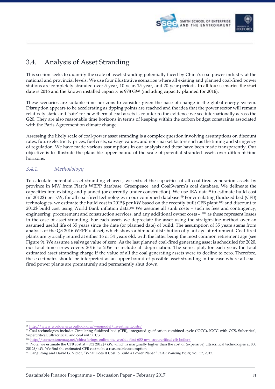



### 3.4. Analysis of Asset Stranding

This section seeks to quantify the scale of asset stranding potentially faced by China's coal power industry at the national and provincial levels. We use four illustrative scenarios where all existing and planned coal-fired power stations are completely stranded over 5-year, 10-year, 15-year, and 20-year periods. In all four scenarios the start date is 2016 and the known installed capacity is 978 GW (including capacity planned for 2016).

These scenarios are suitable time horizons to consider given the pace of change in the global energy system. Disruption appears to be accelerating as tipping points are reached and the idea that the power sector will remain relatively static and 'safe' for new thermal coal assets is counter to the evidence we see internationally across the G20. They are also reasonable time horizons in terms of keeping within the carbon budget constraints associated with the Paris Agreement on climate change.

Assessing the likely scale of coal-power asset stranding is a complex question involving assumptions on discount rates, future electricity prices, fuel costs, salvage values, and non-market factors such as the timing and stringency of regulation. We have made various assumptions in our analysis and these have been made transparently. Our objective is to illustrate the plausible upper bound of the scale of potential stranded assets over different time horizons.

### *3.4.1. Methodology*

To calculate potential asset stranding charges, we extract the capacities of all coal-fired generation assets by province in MW from Platt's WEPP database, Greenpeace, and CoalSwarm's coal database. We delineate the capacities into existing and planned (or currently under construction). We use IEA data98 to estimate build cost (in 2012\$) per kW, for all coal-fired technologies in our combined database.99 For circulating fluidized bed (CFB) technologies, we estimate the build cost in 2015\$ per kW based on the recently built CFB plant,100 and discount to 2012\$ build cost using World Bank inflation data.101 We assume all sunk costs – such as fees and contingency, engineering, procurement and construction services, and any additional owner costs  $-102$  as these represent losses in the case of asset stranding. For each asset, we depreciate the asset using the straight-line method over an assumed useful life of 35 years since the date (or planned date) of build. The assumption of 35 years stems from analysis of the Q3 2016 WEPP dataset, which shows a bimodal distribution of plant age at retirement. Coal-fired plants are typically retired at either 16 or 34 years old, with the latter being the most common retirement age (see Figure 9). We assume a salvage value of zero. As the last planned coal-fired generating asset is scheduled for 2020, our total time series covers 2016 to 2056 to include all depreciation. The series plot, for each year, the total estimated asset stranding charge if the value of all the coal generating assets were to decline to zero. Therefore, these estimates should be interpreted as an upper bound of possible asset stranding in the case where all coalfired power plants are prematurely and permanently shut down.

<sup>-</sup><sup>98</sup> http://www.worldenergyoutlook.org/weomodel/investmentcosts/

<sup>99</sup> Coal technologies include: Circulating fluidized bed (CFB), integrated gasification combined cycle (IGCC), IGCC with CCS, Subcritical, Supercritical, ultracritical, and coal with CCS.

<sup>100</sup> http://cornerstonemag.net/china-brings-online-the-worlds-first-600-mw-supercritical-cfb-boiler/

<sup>101</sup> Note, we estimate the CFB cost at ~832 2012\$/kW, which is marginally higher than the cost of (expensive) ultracritical technologies at 800 2012\$/kW. We find the estimated CFB cost to be a reasonable assumption.

<sup>102</sup> Fang Rong and David G. Victor, "What Does It Cost to Build a Power Plant?," *ILAR Working Paper*, vol. 17, 2012.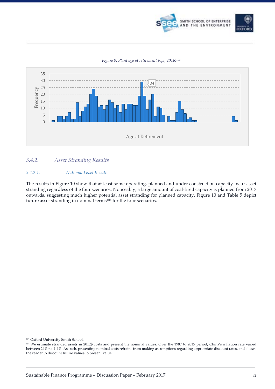

#### *Figure 9: Plant age at retirement (Q3, 2016)103*



#### *3.4.2. Asset Stranding Results*

#### *3.4.2.1. National Level Results*

The results in Figure 10 show that at least some operating, planned and under construction capacity incur asset stranding regardless of the four scenarios. Noticeably, a large amount of coal-fired capacity is planned from 2017 onwards, suggesting much higher potential asset stranding for planned capacity. Figure 10 and Table 5 depict future asset stranding in nominal terms104 for the four scenarios.

 <sup>103</sup> Oxford University Smith School.

<sup>104</sup> We estimate stranded assets in 2012\$ costs and present the nominal values. Over the 1987 to 2015 period, China's inflation rate varied between 24% to -1.4%. As such, presenting nominal costs refrains from making assumptions regarding appropriate discount rates, and allows the reader to discount future values to present value.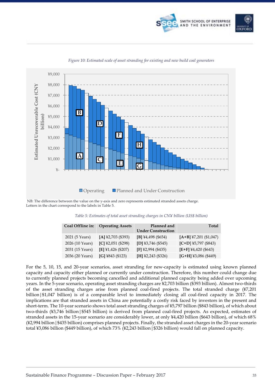



*Figure 10: Estimated scale of asset stranding for existing and new build coal generators*

NB: The difference between the value on the y-axis and zero represents estimated stranded assets charge. Letters in the chart correspond to the labels in Table 5.

| Coal Offline in: | <b>Operating Assets</b>  | Planned and<br><b>Under Construction</b> | <b>Total</b>             |
|------------------|--------------------------|------------------------------------------|--------------------------|
| 2021 (5 Years)   | $[A]$ ¥2,703 (\$393)     | [B] ¥4,498 (\$654)                       | $[A+B]$ ¥7,201 (\$1,047) |
| 2026 (10 Years)  | $[C]$ ¥2,051 (\$298)     | $[D]$ ¥3,746 (\$545)                     | $[C+D]$ ¥5,797 (\$843)   |
| 2031 (15 Years)  | [E] $\yen$ 1,426 (\$207) | $[F]$ ¥2,994 (\$435)                     | $[E+F]$ ¥4,420 (\$643)   |
| 2036 (20 Years)  | [G] $4843$ (\$123)       | [H] ¥2,243 (\$326)                       | $[G+H]$ ¥3,086 (\$449)   |

*Table 5: Estimates of total asset stranding charges in CN¥ billion (US\$ billion)*

For the 5, 10, 15, and 20-year scenarios, asset stranding for new-capacity is estimated using known planned capacity and capacity either planned or currently under construction. Therefore, this number could change due to currently planned projects becoming cancelled and additional planned capacity being added over upcoming years. In the 5-year scenario, operating asset stranding charges are ¥2,703 billion (\$393 billion). Almost two-thirds of the asset stranding charges arise from planned coal-fired projects. The total stranded charge (¥7,201 billion|\$1,047 billion) is of a comparable level to immediately closing all coal-fired capacity in 2017. The implications are that stranded assets in China are potentially a costly risk faced by investors in the present and short-term. The 10-year scenario shows total asset stranding charges of ¥5,797 billion (\$843 billion), of which about two-thirds (¥3,746 billion|\$545 billion) is derived from planned coal-fired projects. As expected, estimates of stranded assets in the 15-year scenario are considerably lower, at only ¥4,420 billion (\$643 billion), of which 68% (¥2,994 billion|\$435 billion) comprises planned projects. Finally, the stranded asset charges in the 20-year scenario total ¥3,086 billion (\$449 billion), of which 73% (¥2,243 billion|\$326 billion) would fall on planned capacity.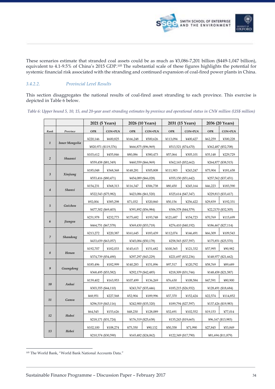

These scenarios estimate that stranded coal assets could be as much as ¥3,086-7,201 billion (\$449-1,047 billion), equivalent to 4.1-9.5% of China's 2015 GDP.105 The substantial scale of these figures highlights the potential for systemic financial risk associated with the stranding and continued expansion of coal-fired power plants in China.

#### *3.4.2.2. Provincial Level Results*

This section disaggregates the national results of coal-fired asset stranding to each province. This exercise is depicted in Table 6 below.

**2021 (5 Years) 2026 (10 Years) 2031 (15 Years) 2036 (20 Years)** *Rank Province* **OPR CON+PLN OPR CON+PLN OPR CON+PLN OPR CON+PLN** *1 Inner Mongolia* ¥220,146 ¥600,825 ¥166,248 ¥500,626 ¥113,094 ¥400,427 ¥62,259 ¥300,228 ¥820,971 (\$119,376) ¥666,875 (\$96,969) ¥513,521 (\$74,670) ¥362,487 (\$52,708) *2 Shaanxi* ¥103,612 ¥455,846 ¥80,086 ¥380,473 ¥57,064 ¥305,101 ¥35,148 ¥229,729 ¥559,458 (\$81,349) ¥460,559 (\$66,969) ¥362,165 (\$52,662) ¥264,877 (\$38,515) *3 Xinjiang* ¥185,048 ¥368,368 ¥148,281 ¥305,808 ¥111,903 ¥243,247 ¥75,904 ¥181,658 ¥553,416 (\$80,471) ¥454,089 (\$66,028) ¥355,150 (\$51,642) ¥257,562 (\$37,451) *4 Shanxi* ¥154,231 ¥368,313 ¥116,347 ¥306,738 ¥80,450 ¥245,164 ¥46,223 ¥183,590 ¥522,543 (\$75,982) ¥423,086 (\$61,520) ¥325,614 (\$47,347) ¥229,813 (\$33,417) *5 Guizhou* ¥92,004 ¥385,298 ¥71,032 ¥320,860 ¥50,156 ¥256,422 ¥29,839 ¥192,331 ¥477,302 (\$69,403) ¥391,892 (\$56,984) ¥306,578 (\$44,579) ¥22,2170 (\$32,305) *6 Jiangsu* ¥231,978 ¥232,773 ¥175,682 ¥193,748 ¥121,687 ¥154,723 ¥70,769 ¥115,699 ¥464,751 (\$67,578) ¥369,430 (\$53,718) ¥276,410 (\$40,192) ¥186,467 (\$27,114) *7 Shandong* ¥213,272 ¥220,387 ¥161,645 ¥183,439 ¥112,074 ¥146,491 ¥66,309 ¥109,543 ¥433,659 (\$63,057) ¥345,084 (\$50,178) ¥258,565 (\$37,597) ¥175,851 (\$25,570) *8 Henan* ¥192,707 ¥182,033 ¥145,615 ¥151,682 ¥100,365 ¥121,332 ¥57,995 ¥90,982 ¥374,739 (\$54,490) ¥297,297 (\$43,229) ¥221,697 (\$32,236) ¥148,977 (\$21,662) *9 Guangdong* ¥185,496 ¥182,999 ¥140,283 ¥151,896 ¥97,517 ¥120,792 ¥58,769 ¥89,689 ¥368,495 (\$53,582) ¥292,179 (\$42,485) ¥218,309 (\$31,744) ¥148,458 (\$21,587) *10 Anhui* ¥139,402 ¥163,953 ¥107,499 ¥136,269 ¥76,630 ¥108,584 ¥47,591 ¥80,900 ¥303,355 (\$44,110) ¥243,767 (\$35,446) ¥185,215 (\$26,932) ¥128,491 (\$18,684) *11 Gansu* ¥68,951 ¥227,568 ¥52,904 ¥189,996 ¥37,370 ¥152,424 ¥22,574 ¥114,852 ¥296,519 (\$43,116) ¥242,900 (\$35,320) ¥189,794 (\$27,597) ¥137,426 (\$19,983) *12 Hubei* ¥64,545 ¥153,626 ¥48,230 ¥128,089 ¥32,691 ¥102,552 ¥19,153 ¥77,014 ¥218,171 (\$31,724) ¥176,319 (\$25,638) ¥135,243 (\$19,665) ¥96,167 (\$13,983) *13 Hebei* ¥102,100 ¥108,274 ¥75,350 ¥90,132 ¥50,358 ¥71,990 ¥27,845 ¥53,849 ¥210,374 (\$30,590) ¥165,482 (\$24,062) ¥122,349 (\$17,790) ¥81,694 (\$11,879)

*Table 6: Upper bound 5, 10, 15, and 20-year asset stranding estimates by province and operational status in CN¥ million (US\$ million)* 

 <sup>105</sup> The World Bank, "World Bank National Accounts Data."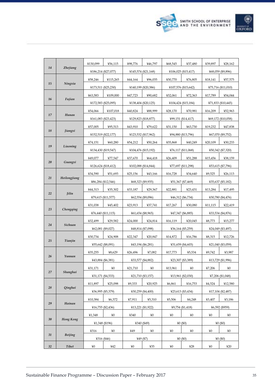



|    |                 |                     |          |                     |                     |                     |                     | ¥39.897 |                    |
|----|-----------------|---------------------|----------|---------------------|---------------------|---------------------|---------------------|---------|--------------------|
| 14 | <b>Zhejiang</b> | ¥130,099            | ¥56,115  | ¥98,776             | ¥46,797             | ¥68,545             | ¥37,480             |         | ¥28,162            |
|    |                 | ¥186,214 (\$27,077) |          |                     | ¥145,574 (\$21,168) |                     | ¥106,025 (\$15,417) |         | ¥68,059 (\$9,896)  |
| 15 | Ningxia         | ¥58,246             | ¥115,265 | ¥44,164             | ¥96,035             | ¥30,770             | ¥76,805             | ¥18,141 | ¥57,575            |
|    |                 | ¥173,511 (\$25,230) |          | ¥140,199 (\$20,386) |                     | ¥107,576 (\$15,642) |                     |         | ¥75,716 (\$11,010) |
| 16 | Fujian          | ¥63,583             | ¥109,000 | ¥47,723             | ¥90,682             | ¥32,061             | ¥72,363             | ¥17,789 | ¥54,044            |
|    |                 | ¥172,583 (\$25,095) |          |                     | ¥138,404 (\$20,125) |                     | ¥104,424 (\$15,184) |         | ¥71,833 (\$10,445) |
| 17 | Hunan           | ¥54,066             | ¥107,018 | ¥40,824             | ¥88,999             | ¥28,170             | ¥70.981             | ¥16,209 | ¥52,963            |
|    |                 | ¥161,083 (\$23,423) |          |                     | ¥129,823 (\$18,877) |                     | ¥99,151 (\$14,417)  |         | ¥69,172 (\$10,058) |
| 18 |                 | ¥57,005             | ¥95,513  | ¥43,910             | ¥79,622             | ¥31,150             | ¥63,730             | ¥19,232 | ¥47,838            |
|    | Jiangxi         | ¥152,519 (\$22,177) |          |                     | ¥123,532 (\$17,962) |                     | ¥94,880 (\$13,796)  |         | ¥67,070 (\$9,752)  |
|    |                 | ¥74,151             | ¥60,280  | ¥54,212             | ¥50,264             | ¥35,868             | ¥40,249             | ¥20,109 | ¥30,233            |
| 19 | Liaoning        | ¥134,430 (\$19,547) |          |                     | ¥104,476 (\$15,192) |                     | ¥76,117 (\$11,068)  |         | ¥50,342 (\$7,320)  |
|    |                 | ¥49.077             | ¥77,547  | ¥37,670             | ¥64,418             | ¥26,409             | ¥51,288             | ¥15,456 | ¥38,159            |
| 20 | Guangxi         | ¥126,624 (\$18,412) |          |                     | ¥102,088 (\$14,844) |                     | ¥77,697 (\$11,298)  |         | ¥53,615 (\$7,796)  |
|    |                 | ¥34,590             | ¥51,693  | ¥25,156             | ¥43,166             | ¥16,728             | ¥34,640             | ¥9,525  | 426,113            |
| 21 | Heilongjiang    | ¥86,284 (\$12,546)  |          |                     | 468,323(9,935)      |                     | ¥51,367 (\$7,469)   |         | ¥35,637 (\$5,182)  |
|    |                 | ¥44,313             | ¥35,302  | ¥33,187             | ¥29,367             | ¥22,881             | ¥23,431             | ¥13,284 | ¥17,495            |
| 22 | <i>Jilin</i>    | ¥79,615 (\$11,577)  |          |                     | ¥62,554 (\$9,096)   |                     | ¥46,312 (\$6,734)   |         | ¥30,780 (\$4,476)  |
|    |                 | ¥31,038             | ¥45,402  | ¥23,913             | ¥37,741             | ¥17,267             | ¥30,080             | ¥11,115 | ¥22,419            |
| 23 | Chongqing       | ¥76,440 (\$11,115)  |          |                     | ¥61,654 (\$8,965)   |                     | ¥47,347 (\$6,885)   |         | ¥33,534 (\$4,876)  |
|    |                 | ¥32.499             | ¥29,582  | 424,000             |                     |                     | ¥20,045             | ¥8,773  |                    |
| 24 | Sichuan         |                     |          |                     | ¥24,814             | ¥16,119             |                     |         | ¥15,277            |
|    |                 | ¥62,081 (\$9,027)   |          |                     | ¥48,814 (\$7,098)   |                     | ¥36,164 (\$5,259)   |         | ¥24,049 (\$3,497)  |
| 25 | Tianjin         | ¥30.734             | ¥24,908  | ¥22,347             | ¥20,847             | ¥14,872             | ¥16,786             | ¥8,315  | ¥12,726            |
|    |                 | ¥55,642 (\$8,091)   |          |                     | ¥43,194 (\$6,281)   |                     | ¥31,659 (\$4,603)   |         | ¥21,040 (\$3,059)  |
| 26 | Yunnan          | ¥35,255             | ¥8.629   | ¥26,496             | ¥7,082              | ¥17,773             | ¥5,534              | ¥9.742  | ¥3,987             |
|    |                 | ¥43,884 (\$6,381)   |          |                     | ¥33,577 (\$4,882)   |                     | ¥23,307 (\$3,389)   |         | ¥13,729 (\$1,996)  |
| 27 | Shanghai        | ¥31,171             | ¥0       | ¥21,710             | ¥0                  | ¥13,961             | ¥0                  | ¥7,206  | ¥0                 |
|    |                 | ¥31,171 (\$4,533)   |          |                     | ¥21,710 (\$3,157)   |                     | ¥13,961 (\$2,030)   |         | ¥7,206 (\$1,048)   |
| 28 | Qinghai         | ¥11,897             | ¥25,098  | ¥9,333              | ¥20,925             | ¥ $6,861$           | ¥16,753             | ¥4,524  | ¥12,580            |
|    |                 | ¥36,995 (\$5,379)   |          |                     | ¥30,259 (\$4,400)   |                     | ¥23,613 (\$3,434)   |         | ¥17,104 (\$2,487)  |
|    | Hainan          | ¥10,384             | 46,372   | ¥7,911              | 45,310              | 45,506              | 44,248              | ¥3,407  | ¥3,186             |
| 29 |                 | ¥16,755 (\$2,436)   |          |                     | ¥13,221 (\$1,922)   |                     | ¥9,754 (\$1,418)    |         | ¥6,592 (\$959)     |
|    |                 | 41,348              | ¥0       | ¥340                | ¥0                  | ¥0                  | ¥0                  | ¥0      | ¥0                 |
| 30 | Hong Kong       | ¥1,348 (\$196)      |          |                     | ¥340 (\$49)         |                     | 40(50)              |         | 40(60)             |
|    |                 | ¥316                | ¥0       | ¥49                 | ¥0                  | ¥0                  | $\yen 0$            | ¥0      | ¥0                 |
| 31 | <b>Beijing</b>  | ¥316 (\$46)         |          |                     | 449(\$7)            |                     | 40(60)              |         | 40(50)             |
| 32 | <b>Tibet</b>    | ¥0                  | 442      | ¥0                  | ¥35                 | ¥0                  | 428                 | ¥0      | 420                |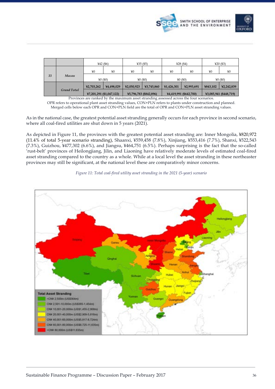

|    |                    | $442($ \$6)              |            | 435(5)     |                        | ¥28 $($ \$4) |                        | ¥20 $($ \$3) |                        |
|----|--------------------|--------------------------|------------|------------|------------------------|--------------|------------------------|--------------|------------------------|
|    |                    | ¥0                       | ¥0         | ¥0         | ¥0                     | ¥0           | ¥0                     | ¥0           | ¥0                     |
| 33 | Macau              | 40(50)                   |            | 40(60)     |                        | 40(50)       |                        | 40(60)       |                        |
|    |                    | ¥2,703,262               | ¥4,498,029 | ¥2,050,923 | ¥3,745,860             | ¥1,426,301   | ¥2,993,691             | ¥843,102     | ¥2,242,839             |
|    | <b>Grand Total</b> | ¥7,201,291 (\$1,047,122) |            |            | ¥5,796,783 (\$842,896) |              | ¥4,419,991 (\$642,700) |              | ¥3,085,941 (\$448,719) |

Provinces are ranked by the maximum asset stranding assessed across the four scenarios.

OPR refers to operational plant asset stranding values, CON+PLN refers to plants under construction and planned. Merged cells below each OPR and CON+PLN field are the total of OPR and CON+PLN asset stranding values.

As in the national case, the greatest potential asset stranding generally occurs for each province in second scenario, where all coal-fired utilities are shut down in 5 years (2021).

As depicted in Figure 11, the provinces with the greatest potential asset stranding are: Inner Mongolia, ¥820,972 (11.4% of total 5-year scenario stranding), Shaanxi, ¥559,458 (7.8%), Xinjiang, ¥553,416 (7.7%), Shanxi, ¥522,543 (7.3%), Guizhou, ¥477,302 (6.6%), and Jiangsu, ¥464,751 (6.5%). Perhaps surprising is the fact that the so-called 'rust-belt' provinces of Heilongjiang, Jilin, and Liaoning have relatively moderate levels of estimated coal-fired asset stranding compared to the country as a whole. While at a local level the asset stranding in these northeaster provinces may still be significant, at the national level these are comparatively minor concerns.

*Figure 11: Total coal-fired utility asset stranding in the 2021 (5-year) scenario*

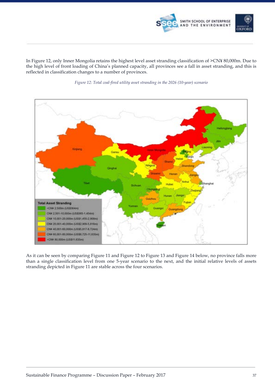

In Figure 12, only Inner Mongolia retains the highest level asset stranding classification of >CN¥ 80,000m. Due to the high level of front loading of China's planned capacity, all provinces see a fall in asset stranding, and this is reflected in classification changes to a number of provinces.





As it can be seen by comparing Figure 11 and Figure 12 to Figure 13 and Figure 14 below, no province falls more than a single classification level from one 5-year scenario to the next, and the initial relative levels of assets stranding depicted in Figure 11 are stable across the four scenarios.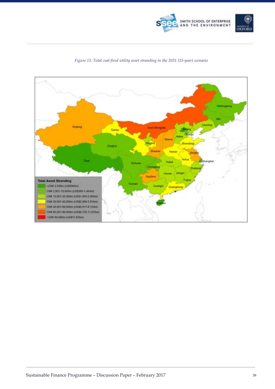



#### *Figure 13: Total coal-fired utility asset stranding in the 2031 (15-year) scenario*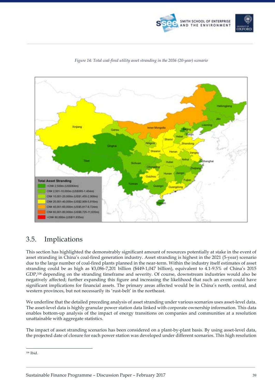





#### *Figure 14: Total coal-fired utility asset stranding in the 2036 (20-year) scenario*

### 3.5. Implications

This section has highlighted the demonstrably significant amount of resources potentially at stake in the event of asset stranding in China's coal-fired generation industry. Asset stranding is highest in the 2021 (5-year) scenario due to the large number of coal-fired plants planned in the near-term. Within the industry itself estimates of asset stranding could be as high as ¥3,086-7,201 billion (\$449-1,047 billion), equivalent to 4.1-9.5% of China's 2015 GDP,106 depending on the stranding timeframe and severity. Of course, downstream industries would also be negatively affected; further expanding this figure and increasing the likelihood that such an event could have significant implications for financial assets. The primary areas affected would be in China's north, central, and western provinces, but not necessarily its 'rust-belt' in the northeast.

We underline that the detailed preceding analysis of asset stranding under various scenarios uses asset-level data. The asset-level data is highly granular power station data linked with corporate ownership information. This data enables bottom-up analysis of the impact of energy transitions on companies and communities at a resolution unattainable with aggregate statistics.

The impact of asset stranding scenarios has been considered on a plant-by-plant basis. By using asset-level data, the projected date of closure for each power station was developed under different scenarios. This high resolution

 <sup>106</sup> Ibid.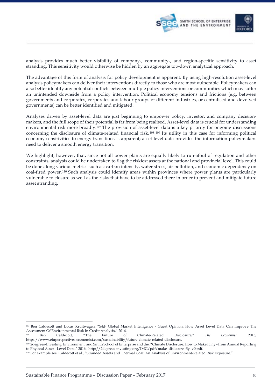

analysis provides much better visibility of company-, community-, and region-specific sensitivity to asset stranding. This sensitivity would otherwise be hidden by an aggregate top-down analytical approach.

The advantage of this form of analysis for policy development is apparent. By using high-resolution asset-level analysis policymakers can deliver their interventions directly to those who are most vulnerable. Policymakers can also better identify any potential conflicts between multiple policy interventions or communities which may suffer an unintended downside from a policy intervention. Political economy tensions and frictions (e.g. between governments and corporates, corporates and labour groups of different industries, or centralised and devolved governments) can be better identified and mitigated.

Analyses driven by asset-level data are just beginning to empower policy, investor, and company decisionmakers, and the full scope of their potential is far from being realised. Asset-level data is crucial for understanding environmental risk more broadly.107 The provision of asset-level data is a key priority for ongoing discussions concerning the disclosure of climate-related financial risk. 108,109 Its utility in this case for informing political economy sensitivities to energy transitions is apparent; asset-level data provides the information policymakers need to deliver a smooth energy transition.

We highlight, however, that, since not all power plants are equally likely to run-afoul of regulation and other constraints, analysis could be undertaken to flag the riskiest assets at the national and provincial level. This could be done along various metrics such as: carbon intensity, water stress, air pollution, and economic dependency on coal-fired power.110 Such analysis could identify areas within provinces where power plants are particularly vulnerable to closure as well as the risks that have to be addressed there in order to prevent and mitigate future asset stranding.

 <sup>107</sup> Ben Caldecott and Lucas Kruitwagen, "S&P Global Market Intelligence - Guest Opinion: How Asset Level Data Can Improve The Assessment Of Environmental Risk In Credit Analysis," 2016.

<sup>108</sup> Ben Caldecott, "The Future of Climate-Related Disclosure," *The Economist*, 2016, https://www.eiuperspectives.economist.com/sustainability/future-climate-related-disclosure.

<sup>109 2</sup>degrees-Investing, Environment, and Smith School of Enterprise and the, "Climate Disclosure: How to Make It Fly - from Annual Reporting to Physical Asset - Level Data," 2016, http://2degrees-investing.org/IMG/pdf/make\_dislosure\_fly\_v0.pdf.

<sup>110</sup> For example see, Caldecott et al., "Stranded Assets and Thermal Coal: An Analysis of Environment-Related Risk Exposure."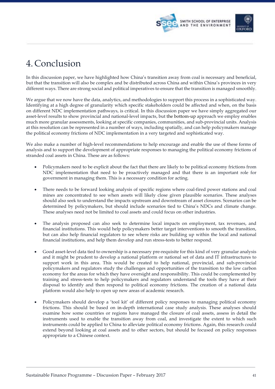



# 4. Conclusion

In this discussion paper, we have highlighted how China's transition away from coal is necessary and beneficial, but that the transition will also be complex and be distributed across China and within China's provinces in very different ways. There are strong social and political imperatives to ensure that the transition is managed smoothly.

We argue that we now have the data, analytics, and methodologies to support this process in a sophisticated way. Identifying at a high degree of granularity which specific stakeholders could be affected and when, on the basis on different NDC implementation pathways, is critical. In this discussion paper we have simply aggregated our asset-level results to show provincial and national-level impacts, but the bottom-up approach we employ enables much more granular assessments, looking at specific companies, communities, and sub-provincial units. Analysis at this resolution can be represented in a number of ways, including spatially, and can help policymakers manage the political economy frictions of NDC implementation in a very targeted and sophisticated way.

We also make a number of high-level recommendations to help encourage and enable the use of these forms of analysis and to support the development of appropriate responses to managing the political economy frictions of stranded coal assets in China. These are as follows:

- Policymakers need to be explicit about the fact that there are likely to be political economy frictions from NDC implementation that need to be proactively managed and that there is an important role for government in managing them. This is a necessary condition for acting.
- There needs to be forward looking analysis of specific regions where coal-fired power stations and coal mines are concentrated to see when assets will likely close given plausible scenarios. These analyses should also seek to understand the impacts upstream and downstream of asset closures. Scenarios can be determined by policymakers, but should include scenarios tied to China's NDCs and climate change. These analyses need not be limited to coal assets and could focus on other industries.
- The analysis proposed can also seek to determine local impacts on employment, tax revenues, and financial institutions. This would help policymakers better target interventions to smooth the transition, but can also help financial regulators to see where risks are building up within the local and national financial institutions, and help them develop and run stress-tests to better respond.
- Good asset-level data tied to ownership is a necessary pre-requisite for this kind of very granular analysis and it might be prudent to develop a national platform or national set of data and IT infrastructures to support work in this area. This would be created to help national, provincial, and sub-provincial policymakers and regulators study the challenges and opportunities of the transition to the low carbon economy for the areas for which they have oversight and responsibility. This could be complemented by training and stress-tests to help policymakers and regulators understand the tools they have at their disposal to identify and then respond to political economy frictions. The creation of a national data platform would also help to open up new areas of academic research.
- Policymakers should develop a 'tool kit' of different policy responses to managing political economy frictions. This should be based on in-depth international case study analysis. These analyses should examine how some countries or regions have managed the closure of coal assets, assess in detail the instruments used to enable the transition away from coal, and investigate the extent to which such instruments could be applied to China to alleviate political economy frictions. Again, this research could extend beyond looking at coal assets and to other sectors, but should be focused on policy responses appropriate to a Chinese context.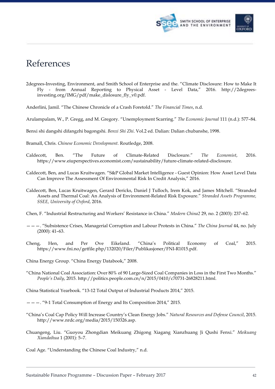



# References

- 2degrees-Investing, Environment, and Smith School of Enterprise and the. "Climate Disclosure: How to Make It Fly - from Annual Reporting to Physical Asset - Level Data," 2016. http://2degreesinvesting.org/IMG/pdf/make\_dislosure\_fly\_v0.pdf.
- Anderlini, Jamil. "The Chinese Chronicle of a Crash Foretold." *The Financial Times*, n.d.
- Arulampalam, W., P. Gregg, and M. Gregory. "Unemployment Scarring." *The Economic Journal* 111 (n.d.): 577–84.
- Benxi shi dangshi difangzhi bagongshi. *Benxi Shi Zhi*. Vol.2 ed. Dalian: Dalian chubanshe, 1998.
- Bramall, Chris. *Chinese Economic Development*. Routledge, 2008.
- Caldecott, Ben. "The Future of Climate-Related Disclosure." *The Economist*, 2016. https://www.eiuperspectives.economist.com/sustainability/future-climate-related-disclosure.
- Caldecott, Ben, and Lucas Kruitwagen. "S&P Global Market Intelligence Guest Opinion: How Asset Level Data Can Improve The Assessment Of Environmental Risk In Credit Analysis," 2016.
- Caldecott, Ben, Lucas Kruitwagen, Gerard Dericks, Daniel J Tulloch, Irem Kok, and James Mitchell. "Stranded Assets and Thermal Coal: An Analysis of Environment-Related Risk Exposure." *Stranded Assets Programme, SSEE, University of Oxford*, 2016.
- Chen, F. "Industrial Restructuring and Workers' Resistance in China." *Modern China2* 29, no. 2 (2003): 237–62.
- ———. "Subsistence Crises, Managerial Corruption and Labour Protests in China." *The China Journal* 44, no. July (2000): 41–63.
- Cheng, Hen, and Per Ove Eikeland. "China's Political Economy of Coal," 2015. https://www.fni.no/getfile.php/132020/Filer/Publikasjoner/FNI-R1015.pdf.
- China Energy Group. "China Energy Databook," 2008.
- "China National Coal Association: Over 80% of 90 Large-Sized Coal Companies in Loss in the First Two Months." *People's Daily*, 2015. http://politics.people.com.cn/n/2015/0410/c70731-26828211.html.

China Statistical Yearbook. "13-12 Total Output of Industrial Products 2014," 2015.

———. "9-1 Total Consumption of Energy and Its Composition 2014," 2015.

- "China's Coal Cap Policy Will Increase Country's Clean Energy Jobs." *Natural Resources and Defense Council*, 2015. http://www.nrdc.org/media/2015/150326.asp.
- Chuangeng, Liu. "Guoyou Zhongdian Meikuang Zhigong Xiagang Xianzhuang Ji Qushi Fenxi." *Meikuang Xiandaihua* 1 (2001): 5–7.
- Coal Age. "Understanding the Chinese Coal Industry," n.d.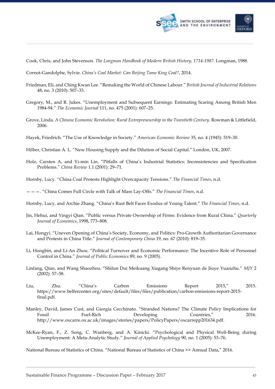

Cook, Chris, and John Stevenson. *The Longman Handbook of Modern British History, 1714-1987*. Longman, 1988.

Cornot-Gandolphe, Sylvie. *China's Coal Market: Can Beijing Tame King Coal?*, 2014.

- Friedman, Eli, and Ching Kwan Lee. "Remaking the World of Chinese Labour." *British Journal of Industrial Relations* 48, no. 3 (2010): 507–33.
- Gregory, M., and R. Jukes. "Unemployment and Subsequent Earnings: Estimating Scaring Among British Men 1984-94." *The Economic Journal* 111, no. 475 (2001): 607–25.
- Grove, Linda. *A Chinese Economic Revolution: Rural Entrepreneurship in the Twentieth Century*. Rowman & Littlefield, 2006.
- Hayek, Friedrich. "The Use of Knowledge in Society." *American Economic Review* 35, no. 4 (1945): 519–30.
- Hilber, Christian A. L. "New Housing Supply and the Dilution of Social Capital." London, UK, 2007.
- Holz, Carsten A, and Yi-min Lin. "Pitfalls of China's Industrial Statistics: Inconsistencies and Specification Problems." *China Review* 1.1 (2001): 29–71.
- Hornby, Lucy. "China Coal Protests Highlight Overcapacity Tensions." *The Financial Times*, n.d.

- Hornby, Lucy, and Archie Zhang. "China's Rust Belt Faces Exodus of Young Talent." *The Financial Times*, n.d.
- Jin, Hehui, and Yingyi Qian. "Public versus Private Ownership of Firms: Evidence from Rural China." *Quarterly Journal of Economics*, 1998, 773–808.
- Lai, Hongyi. "Uneven Opening of China's Society, Economy, and Politics: Pro-Growth Authoritarian Governance and Protests in China Title." *Journal of Contemporary China* 19, no. 67 (2010): 819–35.
- Li, Hongbin, and Li-An Zhou. "Political Turnover and Economic Performance: The Incentive Role of Personnel Control in China." *Journal of Public Economics* 89, no. 9 (2005).
- Linfang, Qian, and Wang Shaozhou. "Shilun Dui Meikuang Xiagang Shiye Renyuan de Jiuye Yuanzhu." *MJY* 2 (2002): 57–58.
- Liu, Zhu. "China's Carbon Emissions Report 2015," 2015. https://www.belfercenter.org/sites/default/files/files/publication/carbon-emissions-report-2015 final.pdf.
- Manley, David, James Cust, and Giorgia Cecchinato. "Stranded Nations? The Climate Policy Implications for Fossil Fuel-Rich Developing Countries," 2016. http://www.oxcarre.ox.ac.uk/images/stories/papers/PolicyPapers/oxcarrepp201634.pdf.
- McKee-Ryan, F., Z. Song, C. Wanberg, and A. Kinicki. "Psychological and Physical Well-Being during Unemployment: A Meta-Analytic Study." *Journal of Applied Psychology* 90, no. 1 (2005): 53–76.

National Bureau of Statistics of China. "National Bureau of Statistics of China >> Annual Data," 2016.

<sup>———. &</sup>quot;China Comes Full Circle with Talk of Mass Lay-Offs." *The Financial Times*, n.d.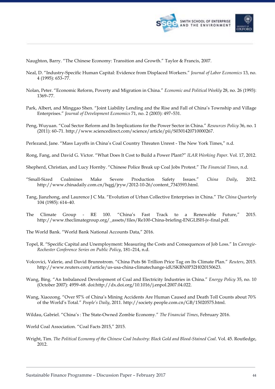

- Naughton, Barry. "The Chinese Economy: Transition and Growth." Taylor & Francis, 2007.
- Neal, D. "Industry-Specific Human Capital: Evidence from Displaced Workers." *Journal of Labor Economics* 13, no. 4 (1995): 653–77.
- Nolan, Peter. "Economic Reform, Poverty and Migration in China." *Economic and Political Weekly* 28, no. 26 (1993): 1369–77.
- Park, Albert, and Minggao Shen. "Joint Liability Lending and the Rise and Fall of China's Township and Village Enterprises." *Journal of Development Economics* 71, no. 2 (2003): 497–531.
- Peng, Wuyuan. "Coal Sector Reform and Its Implications for the Power Sector in China." *Resources Policy* 36, no. 1 (2011): 60–71. http://www.sciencedirect.com/science/article/pii/S0301420710000267.
- Perlezand, Jane. "Mass Layoffs in China's Coal Country Threaten Unrest The New York Times," n.d.
- Rong, Fang, and David G. Victor. "What Does It Cost to Build a Power Plant?" *ILAR Working Paper*. Vol. 17, 2012.
- Shepherd, Christian, and Lucy Hornby. "Chinese Police Break up Coal Jobs Protest." *The Financial Times*, n.d.
- "Small-Sized Coalmines Make Severe Production Safety Issues." *China Daily*, 2012. http://www.chinadaily.com.cn/hqgj/jryw/2012-10-26/content\_7343593.html.
- Tang, Jianzhong, and Laurence J C Ma. "Evolution of Urban Collective Enterprises in China." *The China Quarterly* 104 (1985): 614–40.
- The Climate Group RE 100. "China's Fast Track to a Renewable Future," 2015. http://www.theclimategroup.org/\_assets/files/Re100-China-briefing-ENGLISH-jv-final.pdf.
- The World Bank. "World Bank National Accounts Data," 2016.
- Topel, R. "Specific Capital and Unemployment: Measuring the Costs and Consequences of Job Loss." In *Carengie-Rochester Conference Series on Public Policy*, 181–214, n.d.
- Volcovici, Valerie, and David Brunnstrom. "China Puts \$6 Trillion Price Tag on Its Climate Plan." *Reuters*, 2015. http://www.reuters.com/article/us-usa-china-climatechange-idUSKBN0P32H020150623.
- Wang, Bing. "An Imbalanced Development of Coal and Electricity Industries in China." *Energy Policy* 35, no. 10 (October 2007): 4959–68. doi:http://dx.doi.org/10.1016/j.enpol.2007.04.022.
- Wang, Xiaozong. "Over 97% of China's Mining Accidents Are Human Caused and Death Toll Counts about 70% of the World's Total." *People's Daily*, 2011. http://society.people.com.cn/GB/15020575.html.
- Wildau, Gabriel. "China's : The State-Owned Zombie Economy." *The Financial Times*, February 2016.
- World Coal Association. "Coal Facts 2015," 2015.
- Wright, Tim. *The Political Economy of the Chinese Coal Industry: Black Gold and Blood-Stained Coal*. Vol. 45. Routledge, 2012.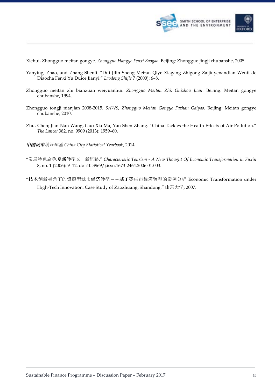

Xiehui, Zhongguo meitan gongye. *Zhongguo Hangye Fenxi Baogao*. Beijing: Zhongguo jingji chubanshe, 2005.

- Yanying, Zhao, and Zhang Shenli. "Dui Jilin Sheng Meitan Qiye Xiagang Zhigong Zaijiuyenandian Wenti de Diaocha Fenxi Yu Duice Jianyi." *Laodong Shijie* 7 (2000): 6–8.
- Zhongguo meitan zhi bianzuan weiyuanhui. *Zhongguo Meitan Zhi: Guizhou Juan*. Beijing: Meitan gongye chubanshe, 1994.
- Zhongguo tongji nianjian 2008-2015. *SAWS, Zhongguo Meitan Gongye Fazhan Gaiyao*. Beijing: Meitan gongye chubanshe, 2010.
- Zhu, Chen; Jian-Nan Wang, Guo-Xia Ma, Yan-Shen Zhang. "China Tackles the Health Effects of Air Pollution." *The Lancet* 382, no. 9909 (2013): 1959–60.
- 中国城市统计年鉴 *China City Statistical Yearbook*, 2014.
- "发展特色旅游:阜新转型又一新思路." *Characteristic Tourism - A New Thought Of Economic Transformation in Fuxin* 8, no. 1 (2006): 9–12. doi:10.3969/j.issn.1673-2464.2006.01.003.
- "技术创新视角下的资源型城市经济转型——基于枣庄市经济转型的案例分析 Economic Transformation under High-Tech Innovation: Case Study of Zaozhuang, Shandong." 山东大学, 2007.